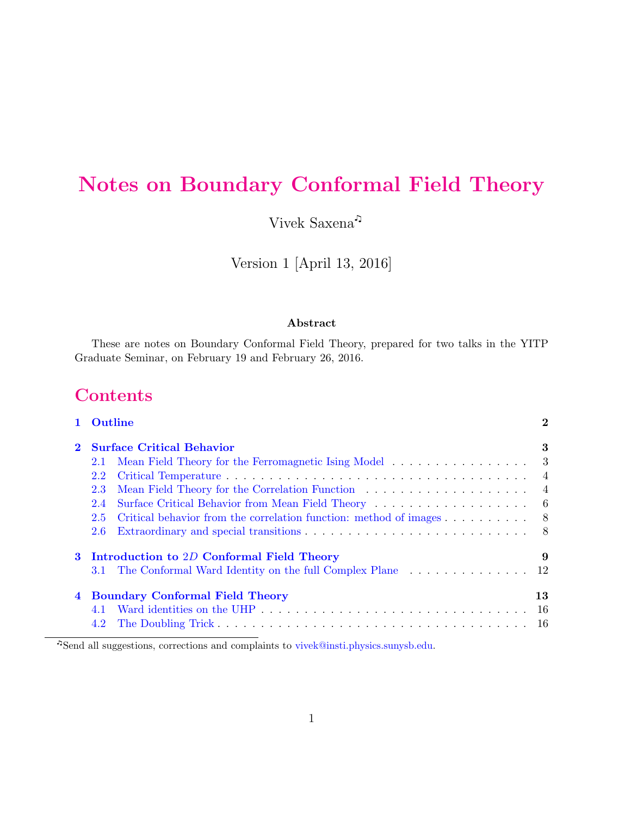# <span id="page-0-0"></span>Notes on Boundary Conformal Field Theory

Vivek Saxena

Version 1 [April 13, 2016]

#### Abstract

These are notes on Boundary Conformal Field Theory, prepared for two talks in the YITP Graduate Seminar, on February 19 and February 26, 2016.

# **Contents**

|   | Outline                                                                              | $\bf{2}$       |
|---|--------------------------------------------------------------------------------------|----------------|
|   | <b>Surface Critical Behavior</b>                                                     | 3              |
|   | Mean Field Theory for the Ferromagnetic Ising Model 3<br>2.1                         |                |
|   | 2.2                                                                                  |                |
|   | 2.3                                                                                  | $\overline{4}$ |
|   | 2.4                                                                                  |                |
|   | Critical behavior from the correlation function: method of images 8<br>$2.5^{\circ}$ |                |
|   | 2.6                                                                                  |                |
| 3 | Introduction to 2D Conformal Field Theory                                            | 9              |
|   | 3.1                                                                                  |                |
| 4 | <b>Boundary Conformal Field Theory</b>                                               | 13             |
|   |                                                                                      |                |
|   | 4.2                                                                                  |                |

Send all suggestions, corrections and complaints to [vivek@insti.physics.sunysb.edu.](mailto:vivek@insti.physics.sunysb.edu)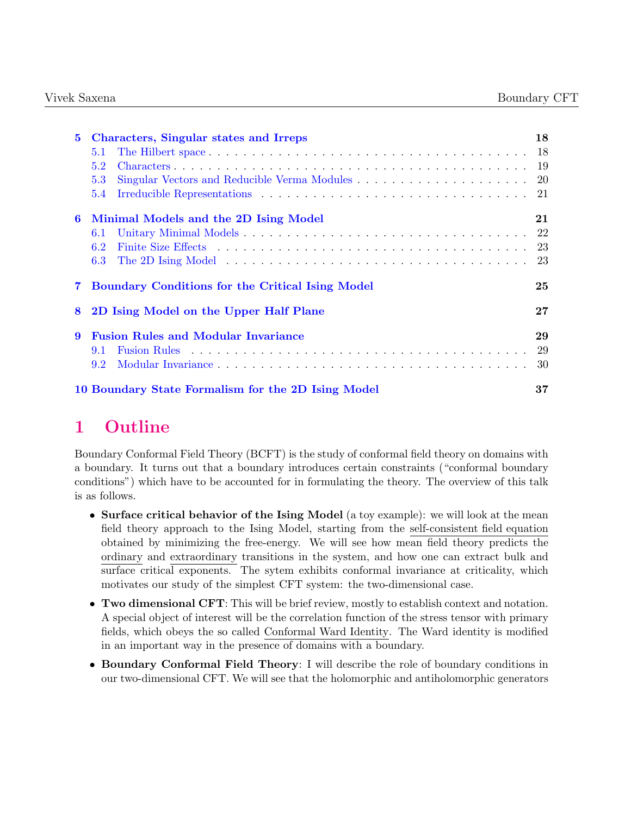| $\mathbf{5}$ | <b>Characters, Singular states and Irreps</b>                 | 18 |  |  |  |
|--------------|---------------------------------------------------------------|----|--|--|--|
|              | 5.1                                                           |    |  |  |  |
|              | 5.2                                                           | 19 |  |  |  |
|              | 5.3                                                           | 20 |  |  |  |
|              | 5.4                                                           | 21 |  |  |  |
| 6            | Minimal Models and the 2D Ising Model<br>21                   |    |  |  |  |
|              | 6.1                                                           |    |  |  |  |
|              | 6.2                                                           |    |  |  |  |
|              | 6.3                                                           | 23 |  |  |  |
|              | <b>Boundary Conditions for the Critical Ising Model</b><br>25 |    |  |  |  |
| 8            | 2D Ising Model on the Upper Half Plane<br>$27\,$              |    |  |  |  |
| 9            | <b>Fusion Rules and Modular Invariance</b>                    | 29 |  |  |  |
|              | 9.1                                                           | 29 |  |  |  |
|              | 9.2                                                           | 30 |  |  |  |
|              | 10 Boundary State Formalism for the 2D Ising Model<br>37      |    |  |  |  |

# <span id="page-1-0"></span>1 Outline

Boundary Conformal Field Theory (BCFT) is the study of conformal field theory on domains with a boundary. It turns out that a boundary introduces certain constraints ("conformal boundary conditions") which have to be accounted for in formulating the theory. The overview of this talk is as follows.

- Surface critical behavior of the Ising Model (a toy example): we will look at the mean field theory approach to the Ising Model, starting from the self-consistent field equation obtained by minimizing the free-energy. We will see how mean field theory predicts the ordinary and extraordinary transitions in the system, and how one can extract bulk and surface critical exponents. The sytem exhibits conformal invariance at criticality, which motivates our study of the simplest CFT system: the two-dimensional case.
- Two dimensional CFT: This will be brief review, mostly to establish context and notation. A special object of interest will be the correlation function of the stress tensor with primary fields, which obeys the so called Conformal Ward Identity. The Ward identity is modified in an important way in the presence of domains with a boundary.
- Boundary Conformal Field Theory: I will describe the role of boundary conditions in our two-dimensional CFT. We will see that the holomorphic and antiholomorphic generators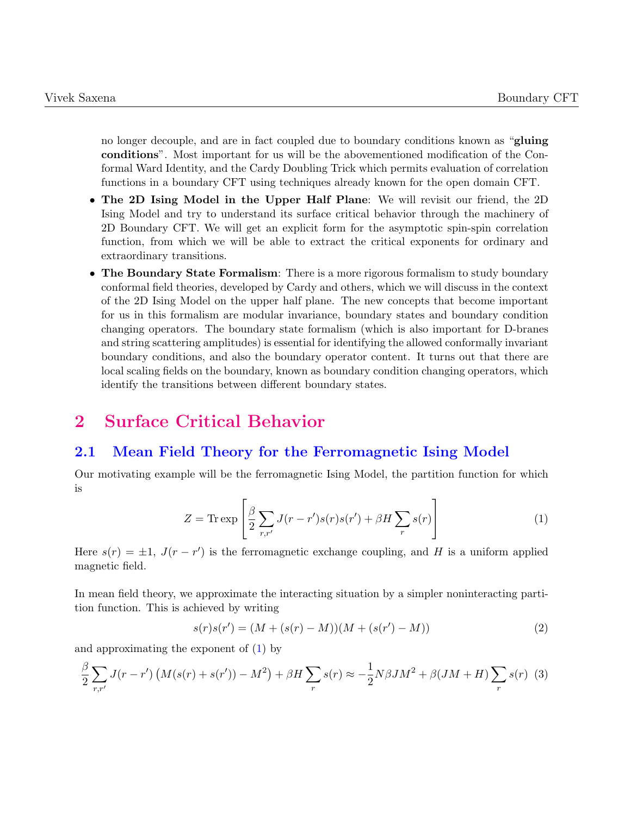no longer decouple, and are in fact coupled due to boundary conditions known as "**gluing** conditions". Most important for us will be the abovementioned modification of the Conformal Ward Identity, and the Cardy Doubling Trick which permits evaluation of correlation functions in a boundary CFT using techniques already known for the open domain CFT.

- The 2D Ising Model in the Upper Half Plane: We will revisit our friend, the 2D Ising Model and try to understand its surface critical behavior through the machinery of 2D Boundary CFT. We will get an explicit form for the asymptotic spin-spin correlation function, from which we will be able to extract the critical exponents for ordinary and extraordinary transitions.
- The Boundary State Formalism: There is a more rigorous formalism to study boundary conformal field theories, developed by Cardy and others, which we will discuss in the context of the 2D Ising Model on the upper half plane. The new concepts that become important for us in this formalism are modular invariance, boundary states and boundary condition changing operators. The boundary state formalism (which is also important for D-branes and string scattering amplitudes) is essential for identifying the allowed conformally invariant boundary conditions, and also the boundary operator content. It turns out that there are local scaling fields on the boundary, known as boundary condition changing operators, which identify the transitions between different boundary states.

# <span id="page-2-0"></span>2 Surface Critical Behavior

### <span id="page-2-1"></span>2.1 Mean Field Theory for the Ferromagnetic Ising Model

Our motivating example will be the ferromagnetic Ising Model, the partition function for which is

<span id="page-2-2"></span>
$$
Z = \text{Tr} \exp\left[\frac{\beta}{2} \sum_{r,r'} J(r - r')s(r)s(r') + \beta H \sum_{r} s(r)\right]
$$
 (1)

Here  $s(r) = \pm 1$ ,  $J(r - r')$  is the ferromagnetic exchange coupling, and H is a uniform applied magnetic field.

In mean field theory, we approximate the interacting situation by a simpler noninteracting partition function. This is achieved by writing

$$
s(r)s(r') = (M + (s(r) - M))(M + (s(r') - M))
$$
\n(2)

and approximating the exponent of [\(1\)](#page-2-2) by

$$
\frac{\beta}{2} \sum_{r,r'} J(r-r') \left( M(s(r) + s(r')) - M^2 \right) + \beta H \sum_{r} s(r) \approx -\frac{1}{2} N \beta J M^2 + \beta (JM + H) \sum_{r} s(r) \tag{3}
$$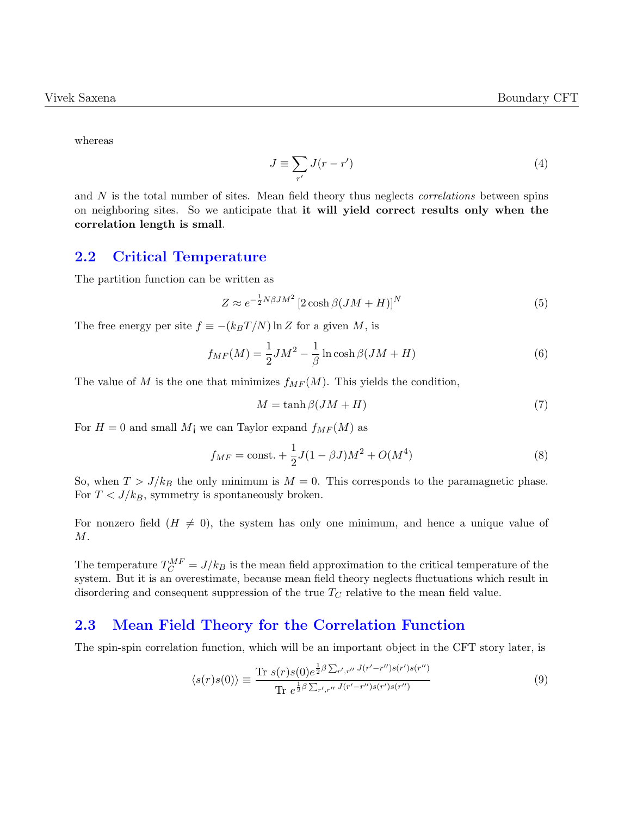whereas

$$
J \equiv \sum_{r'} J(r - r') \tag{4}
$$

and  $N$  is the total number of sites. Mean field theory thus neglects *correlations* between spins on neighboring sites. So we anticipate that it will yield correct results only when the correlation length is small.

#### <span id="page-3-0"></span>2.2 Critical Temperature

The partition function can be written as

$$
Z \approx e^{-\frac{1}{2}N\beta JM^2} \left[2\cosh\beta (JM + H)\right]^N \tag{5}
$$

The free energy per site  $f \equiv -(k_BT/N) \ln Z$  for a given M, is

$$
f_{MF}(M) = \frac{1}{2}JM^2 - \frac{1}{\beta}\ln\cosh\beta(JM + H)
$$
\n(6)

The value of M is the one that minimizes  $f_{MF}(M)$ . This yields the condition,

$$
M = \tanh \beta (JM + H) \tag{7}
$$

For  $H = 0$  and small  $M<sub>i</sub>$  we can Taylor expand  $f<sub>MF</sub>(M)$  as

$$
f_{MF} = \text{const.} + \frac{1}{2}J(1 - \beta J)M^2 + O(M^4)
$$
\n(8)

So, when  $T > J/k_B$  the only minimum is  $M = 0$ . This corresponds to the paramagnetic phase. For  $T < J/k_B$ , symmetry is spontaneously broken.

For nonzero field  $(H \neq 0)$ , the system has only one minimum, and hence a unique value of M.

The temperature  $T_C^{MF} = J/k_B$  is the mean field approximation to the critical temperature of the system. But it is an overestimate, because mean field theory neglects fluctuations which result in disordering and consequent suppression of the true  $T_C$  relative to the mean field value.

#### <span id="page-3-1"></span>2.3 Mean Field Theory for the Correlation Function

The spin-spin correlation function, which will be an important object in the CFT story later, is

$$
\langle s(r)s(0)\rangle \equiv \frac{\text{Tr } s(r)s(0)e^{\frac{1}{2}\beta \sum_{r',r''} J(r'-r'')s(r')s(r'')}}{\text{Tr } e^{\frac{1}{2}\beta \sum_{r',r''} J(r'-r'')s(r')s(r'')}} \tag{9}
$$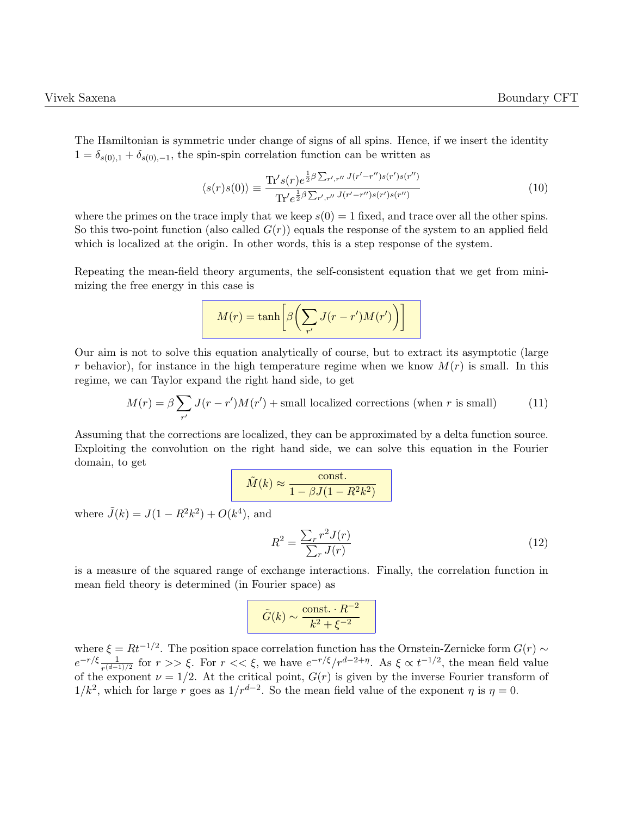The Hamiltonian is symmetric under change of signs of all spins. Hence, if we insert the identity  $1 = \delta_{s(0),1} + \delta_{s(0),-1}$ , the spin-spin correlation function can be written as

$$
\langle s(r)s(0)\rangle \equiv \frac{\text{Tr}'s(r)e^{\frac{1}{2}\beta\sum_{r',r''}J(r'-r'')s(r')s(r'')}}{\text{Tr}'e^{\frac{1}{2}\beta\sum_{r',r''}J(r'-r'')s(r')s(r'')}}\tag{10}
$$

where the primes on the trace imply that we keep  $s(0) = 1$  fixed, and trace over all the other spins. So this two-point function (also called  $G(r)$ ) equals the response of the system to an applied field which is localized at the origin. In other words, this is a step response of the system.

Repeating the mean-field theory arguments, the self-consistent equation that we get from minimizing the free energy in this case is

$$
M(r) = \tanh\left[\beta\left(\sum_{r'} J(r - r')M(r')\right)\right]
$$

Our aim is not to solve this equation analytically of course, but to extract its asymptotic (large r behavior), for instance in the high temperature regime when we know  $M(r)$  is small. In this regime, we can Taylor expand the right hand side, to get

$$
M(r) = \beta \sum_{r'} J(r - r')M(r') + \text{small localized corrections (when } r \text{ is small}) \tag{11}
$$

Assuming that the corrections are localized, they can be approximated by a delta function source. Exploiting the convolution on the right hand side, we can solve this equation in the Fourier domain, to get

$$
\tilde{M}(k) \approx \frac{\text{const.}}{1 - \beta J (1 - R^2 k^2)}
$$

where  $\tilde{J}(k) = J(1 - R^2k^2) + O(k^4)$ , and

$$
R^2 = \frac{\sum_r r^2 J(r)}{\sum_r J(r)}\tag{12}
$$

is a measure of the squared range of exchange interactions. Finally, the correlation function in mean field theory is determined (in Fourier space) as

$$
\tilde{G}(k) \sim \frac{\text{const.} \cdot R^{-2}}{k^2 + \xi^{-2}}
$$

where  $\xi = Rt^{-1/2}$ . The position space correlation function has the Ornstein-Zernicke form  $G(r) \sim$  $e^{-r/\xi} \frac{1}{\pi (d-1)}$  $\frac{1}{r^{(d-1)/2}}$  for  $r >> \xi$ . For  $r << \xi$ , we have  $e^{-r/\xi}/r^{d-2+\eta}$ . As  $\xi \propto t^{-1/2}$ , the mean field value of the exponent  $\nu = 1/2$ . At the critical point,  $G(r)$  is given by the inverse Fourier transform of  $1/k^2$ , which for large r goes as  $1/r^{d-2}$ . So the mean field value of the exponent  $\eta$  is  $\eta = 0$ .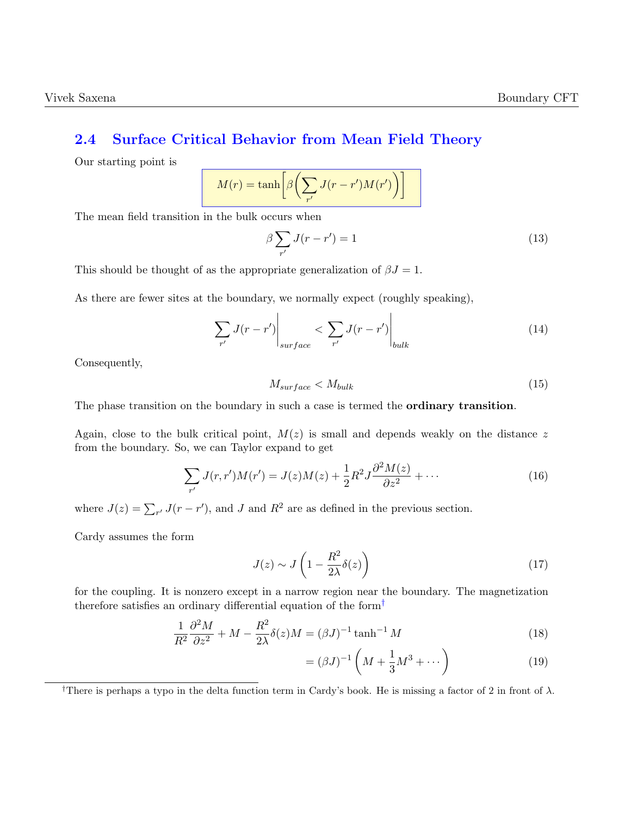### <span id="page-5-0"></span>2.4 Surface Critical Behavior from Mean Field Theory

Our starting point is

$$
M(r) = \tanh\left[\beta\left(\sum_{r'} J(r - r')M(r')\right)\right]
$$

The mean field transition in the bulk occurs when

$$
\beta \sum_{r'} J(r - r') = 1 \tag{13}
$$

This should be thought of as the appropriate generalization of  $\beta J = 1$ .

As there are fewer sites at the boundary, we normally expect (roughly speaking),

$$
\sum_{r'} J(r - r') \Big|_{surface} < \sum_{r'} J(r - r') \Big|_{bulk} \tag{14}
$$

Consequently,

$$
M_{\text{surface}} < M_{\text{bulk}} \tag{15}
$$

The phase transition on the boundary in such a case is termed the **ordinary transition**.

Again, close to the bulk critical point,  $M(z)$  is small and depends weakly on the distance z from the boundary. So, we can Taylor expand to get

$$
\sum_{r'} J(r, r')M(r') = J(z)M(z) + \frac{1}{2}R^2 J \frac{\partial^2 M(z)}{\partial z^2} + \cdots
$$
 (16)

where  $J(z) = \sum_{r'} J(r - r')$ , and J and  $R^2$  are as defined in the previous section.

Cardy assumes the form

$$
J(z) \sim J\left(1 - \frac{R^2}{2\lambda}\delta(z)\right) \tag{17}
$$

for the coupling. It is nonzero except in a narrow region near the boundary. The magnetization therefore satisfies an ordinary differential equation of the form[†](#page-0-0)

$$
\frac{1}{R^2}\frac{\partial^2 M}{\partial z^2} + M - \frac{R^2}{2\lambda}\delta(z)M = (\beta J)^{-1}\tanh^{-1}M\tag{18}
$$

$$
= (\beta J)^{-1} \left( M + \frac{1}{3} M^3 + \dots \right)
$$
 (19)

<sup>†</sup>There is perhaps a typo in the delta function term in Cardy's book. He is missing a factor of 2 in front of  $\lambda$ .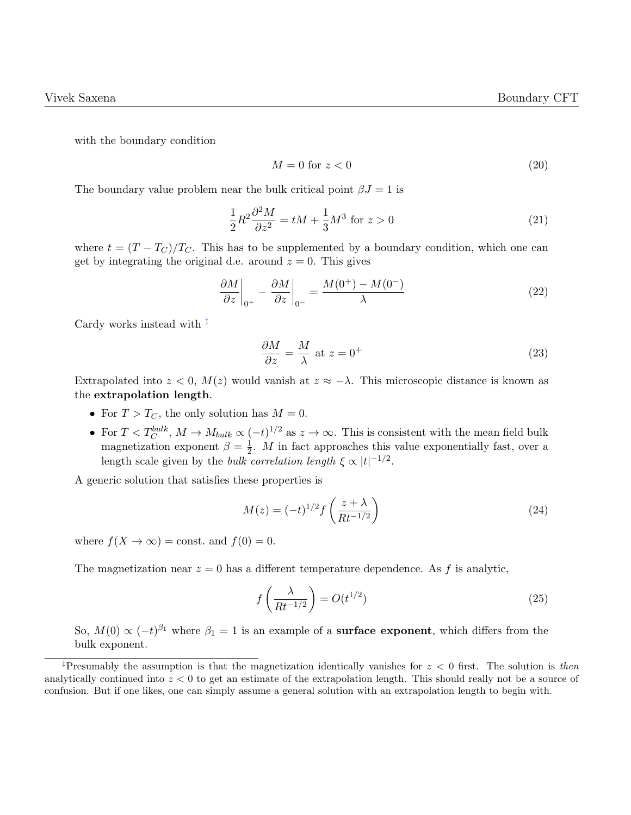with the boundary condition

$$
M = 0 \text{ for } z < 0 \tag{20}
$$

The boundary value problem near the bulk critical point  $\beta J = 1$  is

$$
\frac{1}{2}R^2\frac{\partial^2 M}{\partial z^2} = tM + \frac{1}{3}M^3 \text{ for } z > 0
$$
\n<sup>(21)</sup>

where  $t = (T - T_C)/T_C$ . This has to be supplemented by a boundary condition, which one can get by integrating the original d.e. around  $z = 0$ . This gives

$$
\left. \frac{\partial M}{\partial z} \right|_{0^+} - \left. \frac{\partial M}{\partial z} \right|_{0^-} = \frac{M(0^+) - M(0^-)}{\lambda} \tag{22}
$$

Cardy works instead with [‡](#page-0-0)

$$
\frac{\partial M}{\partial z} = \frac{M}{\lambda} \text{ at } z = 0^+\tag{23}
$$

Extrapolated into  $z < 0$ ,  $M(z)$  would vanish at  $z \approx -\lambda$ . This microscopic distance is known as the extrapolation length.

- For  $T > T_C$ , the only solution has  $M = 0$ .
- For  $T < T_C^{bulk}$ ,  $M \to M_{bulk} \propto (-t)^{1/2}$  as  $z \to \infty$ . This is consistent with the mean field bulk magnetization exponent  $\beta = \frac{1}{2}$  $\frac{1}{2}$ . *M* in fact approaches this value exponentially fast, over a length scale given by the *bulk correlation length*  $\xi \propto |t|^{-1/2}$ .

A generic solution that satisfies these properties is

$$
M(z) = (-t)^{1/2} f\left(\frac{z+\lambda}{Rt^{-1/2}}\right) \tag{24}
$$

where  $f(X \to \infty) = \text{const.}$  and  $f(0) = 0$ .

The magnetization near  $z = 0$  has a different temperature dependence. As f is analytic,

$$
f\left(\frac{\lambda}{Rt^{-1/2}}\right) = O(t^{1/2})\tag{25}
$$

So,  $M(0) \propto (-t)^{\beta_1}$  where  $\beta_1 = 1$  is an example of a **surface exponent**, which differs from the bulk exponent.

<sup>&</sup>lt;sup>‡</sup>Presumably the assumption is that the magnetization identically vanishes for  $z < 0$  first. The solution is then analytically continued into  $z < 0$  to get an estimate of the extrapolation length. This should really not be a source of confusion. But if one likes, one can simply assume a general solution with an extrapolation length to begin with.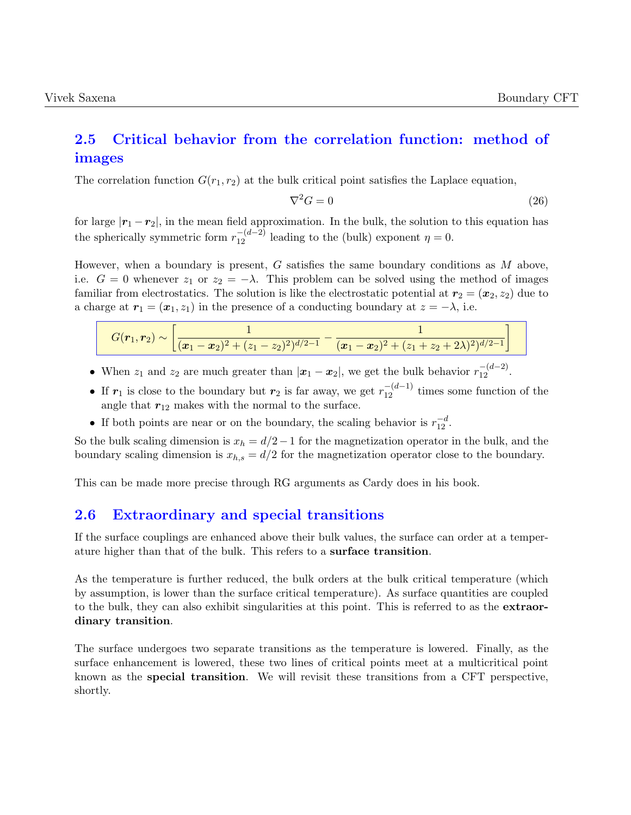### <span id="page-7-0"></span>2.5 Critical behavior from the correlation function: method of images

The correlation function  $G(r_1, r_2)$  at the bulk critical point satisfies the Laplace equation,

$$
\nabla^2 G = 0 \tag{26}
$$

for large  $|\mathbf{r}_1 - \mathbf{r}_2|$ , in the mean field approximation. In the bulk, the solution to this equation has the spherically symmetric form  $r_{12}^{-(d-2)}$  leading to the (bulk) exponent  $\eta = 0$ .

However, when a boundary is present,  $G$  satisfies the same boundary conditions as  $M$  above, i.e.  $G = 0$  whenever  $z_1$  or  $z_2 = -\lambda$ . This problem can be solved using the method of images familiar from electrostatics. The solution is like the electrostatic potential at  $r_2 = (x_2, z_2)$  due to a charge at  $r_1 = (x_1, z_1)$  in the presence of a conducting boundary at  $z = -\lambda$ , i.e.

|  | $\left  \overline{(x_1-x_2)^2+(z_1-z_2)^2 \cdot (d^2-1)} - \overline{(x_1-x_2)^2+(z_1+z_2+2\lambda)^2} \cdot (d^2-1) \right  \right $ |
|--|---------------------------------------------------------------------------------------------------------------------------------------|

- When  $z_1$  and  $z_2$  are much greater than  $|\boldsymbol{x}_1 \boldsymbol{x}_2|$ , we get the bulk behavior  $r_{12}^{-(d-2)}$ .
- If  $r_1$  is close to the boundary but  $r_2$  is far away, we get  $r_{12}^{-(d-1)}$  times some function of the angle that  $r_{12}$  makes with the normal to the surface.
- If both points are near or on the boundary, the scaling behavior is  $r_{12}^{-d}$ .

So the bulk scaling dimension is  $x_h = d/2 - 1$  for the magnetization operator in the bulk, and the boundary scaling dimension is  $x_{h,s} = d/2$  for the magnetization operator close to the boundary.

This can be made more precise through RG arguments as Cardy does in his book.

#### <span id="page-7-1"></span>2.6 Extraordinary and special transitions

If the surface couplings are enhanced above their bulk values, the surface can order at a temperature higher than that of the bulk. This refers to a surface transition.

As the temperature is further reduced, the bulk orders at the bulk critical temperature (which by assumption, is lower than the surface critical temperature). As surface quantities are coupled to the bulk, they can also exhibit singularities at this point. This is referred to as the extraordinary transition.

The surface undergoes two separate transitions as the temperature is lowered. Finally, as the surface enhancement is lowered, these two lines of critical points meet at a multicritical point known as the special transition. We will revisit these transitions from a CFT perspective, shortly.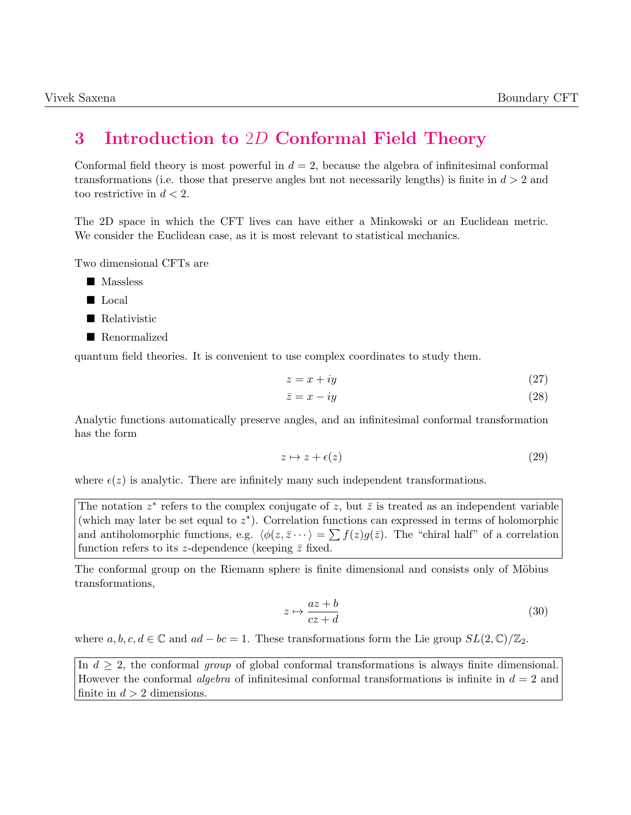# <span id="page-8-0"></span>3 Introduction to 2D Conformal Field Theory

Conformal field theory is most powerful in  $d = 2$ , because the algebra of infinitesimal conformal transformations (i.e. those that preserve angles but not necessarily lengths) is finite in  $d > 2$  and too restrictive in  $d < 2$ .

The 2D space in which the CFT lives can have either a Minkowski or an Euclidean metric. We consider the Euclidean case, as it is most relevant to statistical mechanics.

Two dimensional CFTs are

- **Massless**
- **Local**
- Relativistic
- Renormalized

quantum field theories. It is convenient to use complex coordinates to study them.

$$
z = x + iy \tag{27}
$$

$$
\bar{z} = x - iy \tag{28}
$$

Analytic functions automatically preserve angles, and an infinitesimal conformal transformation has the form

$$
z \mapsto z + \epsilon(z) \tag{29}
$$

where  $\epsilon(z)$  is analytic. There are infinitely many such independent transformations.

The notation  $z^*$  refers to the complex conjugate of z, but  $\bar{z}$  is treated as an independent variable (which may later be set equal to  $z^*$ ). Correlation functions can expressed in terms of holomorphic and antiholomorphic functions, e.g.  $\langle \phi(z, \bar{z} \cdots \rangle) = \sum f(z)g(\bar{z})$ . The "chiral half" of a correlation function refers to its z-dependence (keeping  $\bar{z}$  fixed.

The conformal group on the Riemann sphere is finite dimensional and consists only of Möbius transformations,

$$
z \mapsto \frac{az+b}{cz+d} \tag{30}
$$

where  $a, b, c, d \in \mathbb{C}$  and  $ad - bc = 1$ . These transformations form the Lie group  $SL(2, \mathbb{C})/\mathbb{Z}_2$ .

In  $d \geq 2$ , the conformal group of global conformal transformations is always finite dimensional. However the conformal *algebra* of infinitesimal conformal transformations is infinite in  $d = 2$  and finite in  $d > 2$  dimensions.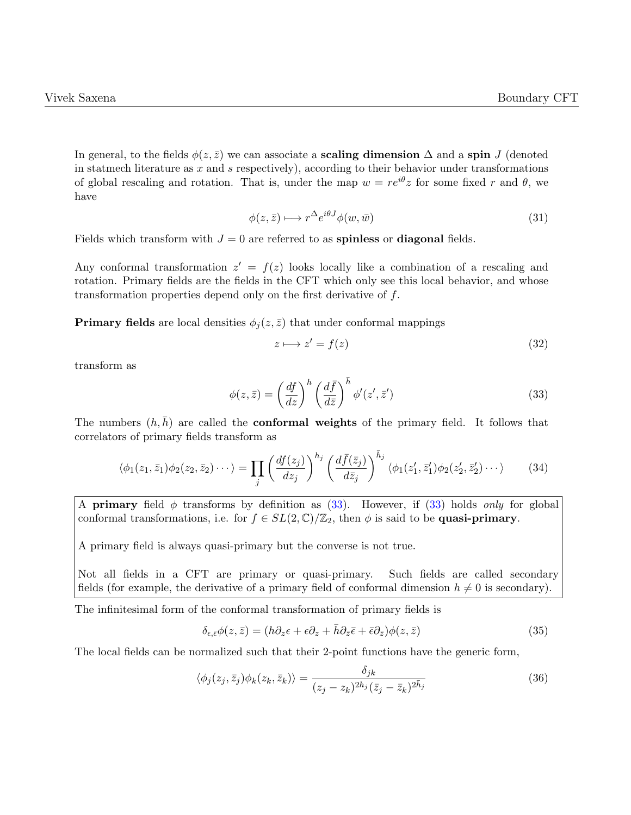In general, to the fields  $\phi(z, \bar{z})$  we can associate a **scaling dimension**  $\Delta$  and a spin J (denoted in statmech literature as  $x$  and  $s$  respectively), according to their behavior under transformations of global rescaling and rotation. That is, under the map  $w = re^{i\theta}z$  for some fixed r and  $\theta$ , we have

$$
\phi(z,\bar{z}) \longmapsto r^{\Delta} e^{i\theta J} \phi(w,\bar{w}) \tag{31}
$$

Fields which transform with  $J = 0$  are referred to as **spinless** or **diagonal** fields.

Any conformal transformation  $z' = f(z)$  looks locally like a combination of a rescaling and rotation. Primary fields are the fields in the CFT which only see this local behavior, and whose transformation properties depend only on the first derivative of f.

**Primary fields** are local densities  $\phi_i(z, \bar{z})$  that under conformal mappings

<span id="page-9-0"></span>
$$
z \longmapsto z' = f(z) \tag{32}
$$

transform as

$$
\phi(z,\bar{z}) = \left(\frac{df}{dz}\right)^h \left(\frac{d\bar{f}}{d\bar{z}}\right)^{\bar{h}} \phi'(z',\bar{z}')
$$
\n(33)

The numbers  $(h, \bar{h})$  are called the **conformal weights** of the primary field. It follows that correlators of primary fields transform as

$$
\langle \phi_1(z_1, \bar{z}_1) \phi_2(z_2, \bar{z}_2) \cdots \rangle = \prod_j \left( \frac{df(z_j)}{dz_j} \right)^{h_j} \left( \frac{d\bar{f}(\bar{z}_j)}{d\bar{z}_j} \right)^{\bar{h}_j} \langle \phi_1(z_1', \bar{z}_1') \phi_2(z_2', \bar{z}_2') \cdots \rangle \tag{34}
$$

A **primary** field  $\phi$  transforms by definition as [\(33\)](#page-9-0). However, if (33) holds only for global conformal transformations, i.e. for  $f \in SL(2,\mathbb{C})/\mathbb{Z}_2$ , then  $\phi$  is said to be **quasi-primary**.

A primary field is always quasi-primary but the converse is not true.

Not all fields in a CFT are primary or quasi-primary. Such fields are called secondary fields (for example, the derivative of a primary field of conformal dimension  $h \neq 0$  is secondary).

The infinitesimal form of the conformal transformation of primary fields is

<span id="page-9-1"></span>
$$
\delta_{\epsilon,\bar{\epsilon}}\phi(z,\bar{z}) = (h\partial_z\epsilon + \epsilon\partial_z + \bar{h}\partial_{\bar{z}}\bar{\epsilon} + \bar{\epsilon}\partial_{\bar{z}})\phi(z,\bar{z})
$$
\n(35)

The local fields can be normalized such that their 2-point functions have the generic form,

$$
\langle \phi_j(z_j, \bar{z}_j) \phi_k(z_k, \bar{z}_k) \rangle = \frac{\delta_{jk}}{(z_j - z_k)^{2h_j} (\bar{z}_j - \bar{z}_k)^{2\bar{h}_j}} \tag{36}
$$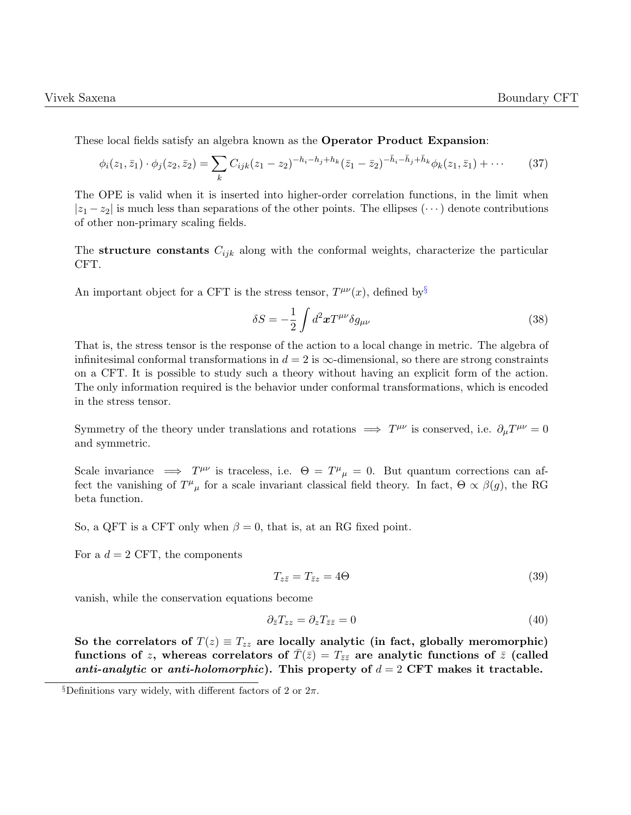These local fields satisfy an algebra known as the Operator Product Expansion:

$$
\phi_i(z_1, \bar{z}_1) \cdot \phi_j(z_2, \bar{z}_2) = \sum_k C_{ijk}(z_1 - z_2)^{-h_i - h_j + h_k} (\bar{z}_1 - \bar{z}_2)^{-\bar{h}_i - \bar{h}_j + \bar{h}_k} \phi_k(z_1, \bar{z}_1) + \cdots
$$
 (37)

The OPE is valid when it is inserted into higher-order correlation functions, in the limit when  $|z_1 - z_2|$  is much less than separations of the other points. The ellipses ( $\cdots$ ) denote contributions of other non-primary scaling fields.

The structure constants  $C_{ijk}$  along with the conformal weights, characterize the particular CFT.

An important object for a CFT is the stress tensor,  $T^{\mu\nu}(x)$ , defined by<sup>[§](#page-0-0)</sup>

$$
\delta S = -\frac{1}{2} \int d^2 x T^{\mu\nu} \delta g_{\mu\nu} \tag{38}
$$

That is, the stress tensor is the response of the action to a local change in metric. The algebra of infinitesimal conformal transformations in  $d = 2$  is  $\infty$ -dimensional, so there are strong constraints on a CFT. It is possible to study such a theory without having an explicit form of the action. The only information required is the behavior under conformal transformations, which is encoded in the stress tensor.

Symmetry of the theory under translations and rotations  $\implies T^{\mu\nu}$  is conserved, i.e.  $\partial_{\mu}T^{\mu\nu} = 0$ and symmetric.

Scale invariance  $\implies T^{\mu\nu}$  is traceless, i.e.  $\Theta = T^{\mu}{}_{\mu} = 0$ . But quantum corrections can affect the vanishing of  $T^{\mu}{}_{\mu}$  for a scale invariant classical field theory. In fact,  $\Theta \propto \beta(g)$ , the RG beta function.

So, a QFT is a CFT only when  $\beta = 0$ , that is, at an RG fixed point.

For a  $d = 2$  CFT, the components

$$
T_{z\bar{z}} = T_{\bar{z}z} = 4\Theta \tag{39}
$$

vanish, while the conservation equations become

$$
\partial_{\bar{z}} T_{zz} = \partial_z T_{\bar{z}\bar{z}} = 0 \tag{40}
$$

So the correlators of  $T(z) \equiv T_{zz}$  are locally analytic (in fact, globally meromorphic) functions of z, whereas correlators of  $T(\bar{z}) = T_{\bar{z}\bar{z}}$  are analytic functions of  $\bar{z}$  (called anti-analytic or anti-holomorphic). This property of  $d = 2$  CFT makes it tractable.

 $\S$ Definitions vary widely, with different factors of 2 or  $2\pi$ .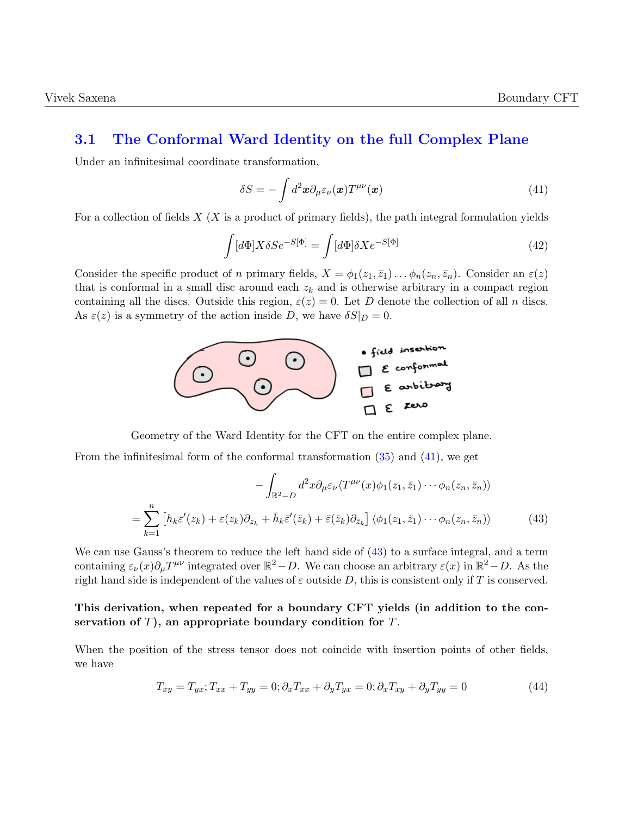#### <span id="page-11-0"></span>3.1 The Conformal Ward Identity on the full Complex Plane

Under an infinitesimal coordinate transformation,

<span id="page-11-1"></span>
$$
\delta S = -\int d^2x \partial_\mu \varepsilon_\nu(\boldsymbol{x}) T^{\mu\nu}(\boldsymbol{x}) \tag{41}
$$

For a collection of fields  $X$  (X is a product of primary fields), the path integral formulation yields

$$
\int [d\Phi] X \delta S e^{-S[\Phi]} = \int [d\Phi] \delta X e^{-S[\Phi]} \tag{42}
$$

Consider the specific product of n primary fields,  $X = \phi_1(z_1, \bar{z}_1) \dots \phi_n(z_n, \bar{z}_n)$ . Consider an  $\varepsilon(z)$ that is conformal in a small disc around each  $z_k$  and is otherwise arbitrary in a compact region containing all the discs. Outside this region,  $\varepsilon(z) = 0$ . Let D denote the collection of all n discs. As  $\varepsilon(z)$  is a symmetry of the action inside D, we have  $\delta S|_D = 0$ .



Geometry of the Ward Identity for the CFT on the entire complex plane.

From the infinitesimal form of the conformal transformation [\(35\)](#page-9-1) and [\(41\)](#page-11-1), we get

<span id="page-11-2"></span>
$$
-\int_{\mathbb{R}^2 - D} d^2x \partial_\mu \varepsilon_\nu \langle T^{\mu\nu}(x) \phi_1(z_1, \bar{z}_1) \cdots \phi_n(z_n, \bar{z}_n) \rangle
$$
  

$$
=\sum_{k=1}^n \left[ h_k \varepsilon'(z_k) + \varepsilon(z_k) \partial_{z_k} + \bar{h}_k \bar{\varepsilon}'(\bar{z}_k) + \bar{\varepsilon}(\bar{z}_k) \partial_{\bar{z}_k} \right] \langle \phi_1(z_1, \bar{z}_1) \cdots \phi_n(z_n, \bar{z}_n) \rangle
$$
(43)

We can use Gauss's theorem to reduce the left hand side of [\(43\)](#page-11-2) to a surface integral, and a term containing  $\varepsilon_{\nu}(x)\partial_{\mu}T^{\mu\nu}$  integrated over  $\mathbb{R}^2 - D$ . We can choose an arbitrary  $\varepsilon(x)$  in  $\mathbb{R}^2 - D$ . As the right hand side is independent of the values of  $\varepsilon$  outside D, this is consistent only if T is conserved.

#### This derivation, when repeated for a boundary CFT yields (in addition to the conservation of  $T$ ), an appropriate boundary condition for  $T$ .

When the position of the stress tensor does not coincide with insertion points of other fields, we have

$$
T_{xy} = T_{yx}; T_{xx} + T_{yy} = 0; \partial_x T_{xx} + \partial_y T_{yx} = 0; \partial_x T_{xy} + \partial_y T_{yy} = 0
$$
\n
$$
(44)
$$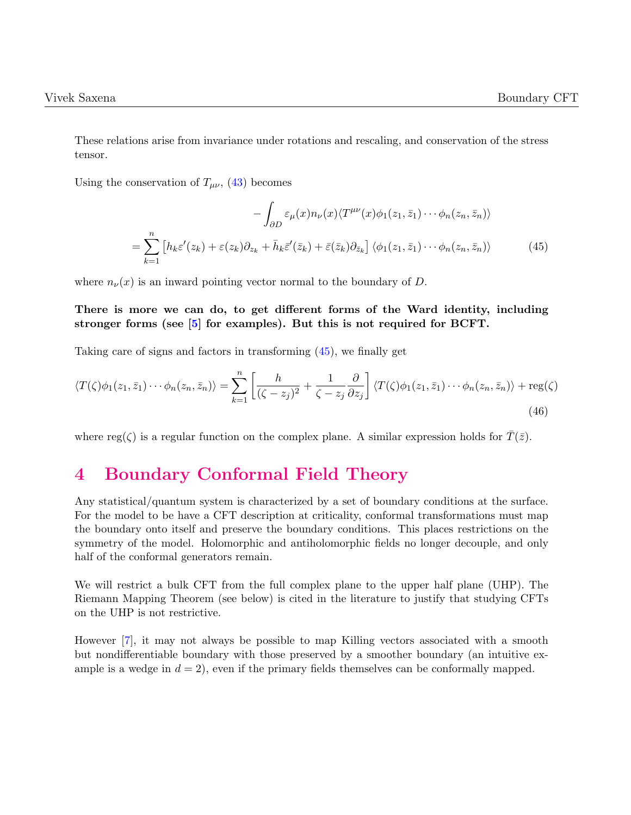These relations arise from invariance under rotations and rescaling, and conservation of the stress tensor.

Using the conservation of  $T_{\mu\nu}$ , [\(43\)](#page-11-2) becomes

<span id="page-12-1"></span>
$$
-\int_{\partial D} \varepsilon_{\mu}(x) n_{\nu}(x) \langle T^{\mu\nu}(x) \phi_1(z_1, \bar{z}_1) \cdots \phi_n(z_n, \bar{z}_n) \rangle
$$

$$
= \sum_{k=1}^n \left[ h_k \varepsilon'(z_k) + \varepsilon(z_k) \partial_{z_k} + \bar{h}_k \bar{\varepsilon}'(\bar{z}_k) + \bar{\varepsilon}(\bar{z}_k) \partial_{\bar{z}_k} \right] \langle \phi_1(z_1, \bar{z}_1) \cdots \phi_n(z_n, \bar{z}_n) \rangle \tag{45}
$$

where  $n_{\nu}(x)$  is an inward pointing vector normal to the boundary of D.

There is more we can do, to get different forms of the Ward identity, including stronger forms (see [\[5\]](#page-37-0) for examples). But this is not required for BCFT.

Taking care of signs and factors in transforming [\(45\)](#page-12-1), we finally get

$$
\langle T(\zeta)\phi_1(z_1,\bar{z}_1)\cdots\phi_n(z_n,\bar{z}_n)\rangle = \sum_{k=1}^n \left[ \frac{h}{(\zeta-z_j)^2} + \frac{1}{\zeta-z_j} \frac{\partial}{\partial z_j} \right] \langle T(\zeta)\phi_1(z_1,\bar{z}_1)\cdots\phi_n(z_n,\bar{z}_n)\rangle + \text{reg}(\zeta)
$$
\n(46)

where reg( $\zeta$ ) is a regular function on the complex plane. A similar expression holds for  $\overline{T}(\overline{z})$ .

### <span id="page-12-0"></span>4 Boundary Conformal Field Theory

Any statistical/quantum system is characterized by a set of boundary conditions at the surface. For the model to be have a CFT description at criticality, conformal transformations must map the boundary onto itself and preserve the boundary conditions. This places restrictions on the symmetry of the model. Holomorphic and antiholomorphic fields no longer decouple, and only half of the conformal generators remain.

We will restrict a bulk CFT from the full complex plane to the upper half plane (UHP). The Riemann Mapping Theorem (see below) is cited in the literature to justify that studying CFTs on the UHP is not restrictive.

However [\[7\]](#page-37-1), it may not always be possible to map Killing vectors associated with a smooth but nondifferentiable boundary with those preserved by a smoother boundary (an intuitive example is a wedge in  $d = 2$ , even if the primary fields themselves can be conformally mapped.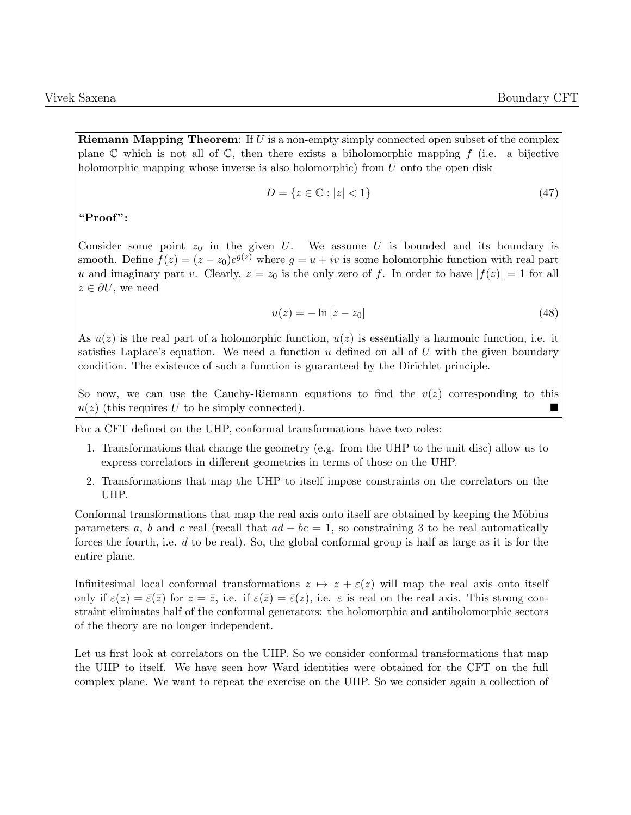**Riemann Mapping Theorem:** If  $U$  is a non-empty simply connected open subset of the complex plane  $\mathbb C$  which is not all of  $\mathbb C$ , then there exists a biholomorphic mapping f (i.e. a bijective holomorphic mapping whose inverse is also holomorphic) from U onto the open disk

$$
D = \{z \in \mathbb{C} : |z| < 1\} \tag{47}
$$

"Proof":

Consider some point  $z_0$  in the given U. We assume U is bounded and its boundary is smooth. Define  $f(z) = (z - z_0)e^{g(z)}$  where  $g = u + iv$  is some holomorphic function with real part u and imaginary part v. Clearly,  $z = z_0$  is the only zero of f. In order to have  $|f(z)| = 1$  for all  $z \in \partial U$ , we need

$$
u(z) = -\ln|z - z_0|
$$
 (48)

As  $u(z)$  is the real part of a holomorphic function,  $u(z)$  is essentially a harmonic function, i.e. it satisfies Laplace's equation. We need a function u defined on all of U with the given boundary condition. The existence of such a function is guaranteed by the Dirichlet principle.

So now, we can use the Cauchy-Riemann equations to find the  $v(z)$  corresponding to this  $u(z)$  (this requires U to be simply connected).

For a CFT defined on the UHP, conformal transformations have two roles:

- 1. Transformations that change the geometry (e.g. from the UHP to the unit disc) allow us to express correlators in different geometries in terms of those on the UHP.
- 2. Transformations that map the UHP to itself impose constraints on the correlators on the UHP.

Conformal transformations that map the real axis onto itself are obtained by keeping the Möbius parameters a, b and c real (recall that  $ad - bc = 1$ , so constraining 3 to be real automatically forces the fourth, i.e.  $d$  to be real). So, the global conformal group is half as large as it is for the entire plane.

Infinitesimal local conformal transformations  $z \mapsto z + \varepsilon(z)$  will map the real axis onto itself only if  $\varepsilon(z) = \bar{\varepsilon}(\bar{z})$  for  $z = \bar{z}$ , i.e. if  $\varepsilon(\bar{z}) = \bar{\varepsilon}(z)$ , i.e.  $\varepsilon$  is real on the real axis. This strong constraint eliminates half of the conformal generators: the holomorphic and antiholomorphic sectors of the theory are no longer independent.

Let us first look at correlators on the UHP. So we consider conformal transformations that map the UHP to itself. We have seen how Ward identities were obtained for the CFT on the full complex plane. We want to repeat the exercise on the UHP. So we consider again a collection of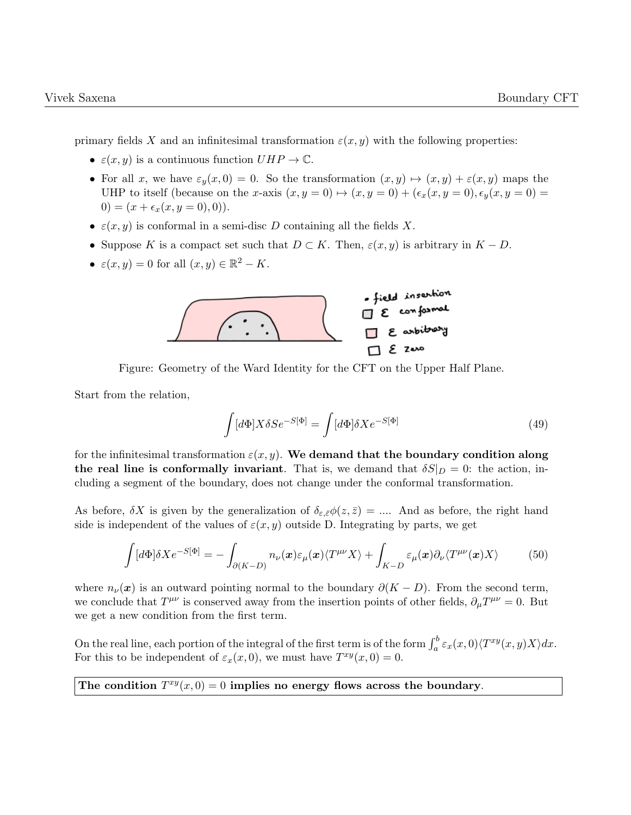primary fields X and an infinitesimal transformation  $\varepsilon(x, y)$  with the following properties:

- $\varepsilon(x, y)$  is a continuous function  $UHP \to \mathbb{C}$ .
- For all x, we have  $\varepsilon_y(x,0) = 0$ . So the transformation  $(x, y) \mapsto (x, y) + \varepsilon(x, y)$  maps the UHP to itself (because on the x-axis  $(x, y = 0) \mapsto (x, y = 0) + (\epsilon_x(x, y = 0), \epsilon_y(x, y = 0) =$ 0) =  $(x + \epsilon_x(x, y = 0), 0)$ .
- $\varepsilon(x, y)$  is conformal in a semi-disc D containing all the fields X.
- Suppose K is a compact set such that  $D \subset K$ . Then,  $\varepsilon(x, y)$  is arbitrary in  $K D$ .
- $\varepsilon(x, y) = 0$  for all  $(x, y) \in \mathbb{R}^2 K$ .



Figure: Geometry of the Ward Identity for the CFT on the Upper Half Plane.

Start from the relation,

$$
\int [d\Phi] X \delta S e^{-S[\Phi]} = \int [d\Phi] \delta X e^{-S[\Phi]} \tag{49}
$$

for the infinitesimal transformation  $\varepsilon(x, y)$ . We demand that the boundary condition along the real line is conformally invariant. That is, we demand that  $\delta S|_D = 0$ : the action, including a segment of the boundary, does not change under the conformal transformation.

As before,  $\delta X$  is given by the generalization of  $\delta_{\varepsilon,\bar{\varepsilon}}\phi(z,\bar{z})=\dots$ . And as before, the right hand side is independent of the values of  $\varepsilon(x, y)$  outside D. Integrating by parts, we get

$$
\int [d\Phi] \delta X e^{-S[\Phi]} = -\int_{\partial (K-D)} n_{\nu}(\boldsymbol{x}) \varepsilon_{\mu}(\boldsymbol{x}) \langle T^{\mu\nu} X \rangle + \int_{K-D} \varepsilon_{\mu}(\boldsymbol{x}) \partial_{\nu} \langle T^{\mu\nu}(\boldsymbol{x}) X \rangle \tag{50}
$$

where  $n_{\nu}(\boldsymbol{x})$  is an outward pointing normal to the boundary  $\partial (K - D)$ . From the second term, we conclude that  $T^{\mu\nu}$  is conserved away from the insertion points of other fields,  $\partial_{\mu}T^{\mu\nu} = 0$ . But we get a new condition from the first term.

On the real line, each portion of the integral of the first term is of the form  $\int_a^b \varepsilon_x(x,0) \langle T^{xy}(x,y)X \rangle dx$ . For this to be independent of  $\varepsilon_x(x,0)$ , we must have  $T^{xy}(x,0) = 0$ .

The condition  $T^{xy}(x,0) = 0$  implies no energy flows across the boundary.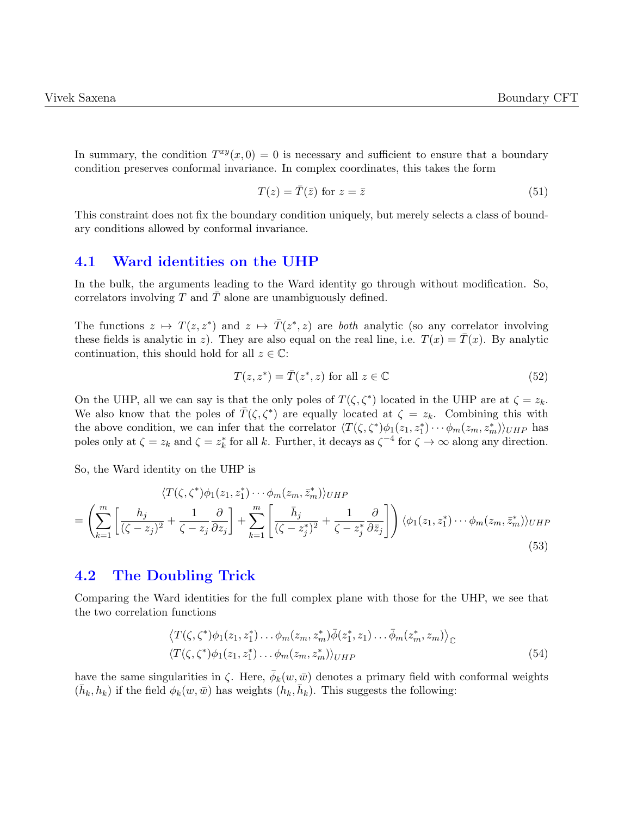In summary, the condition  $T^{xy}(x,0) = 0$  is necessary and sufficient to ensure that a boundary condition preserves conformal invariance. In complex coordinates, this takes the form

$$
T(z) = \bar{T}(\bar{z}) \text{ for } z = \bar{z}
$$
\n(51)

This constraint does not fix the boundary condition uniquely, but merely selects a class of boundary conditions allowed by conformal invariance.

#### <span id="page-15-0"></span>4.1 Ward identities on the UHP

In the bulk, the arguments leading to the Ward identity go through without modification. So, correlators involving  $T$  and  $T$  alone are unambiguously defined.

The functions  $z \mapsto T(z, z^*)$  and  $z \mapsto \overline{T}(z^*, z)$  are *both* analytic (so any correlator involving these fields is analytic in z). They are also equal on the real line, i.e.  $T(x) = \overline{T}(x)$ . By analytic continuation, this should hold for all  $z \in \mathbb{C}$ :

$$
T(z, z^*) = \overline{T}(z^*, z) \text{ for all } z \in \mathbb{C}
$$
 (52)

On the UHP, all we can say is that the only poles of  $T(\zeta,\zeta^*)$  located in the UHP are at  $\zeta = z_k$ . We also know that the poles of  $\bar{T}(\zeta, \zeta^*)$  are equally located at  $\zeta = z_k$ . Combining this with the above condition, we can infer that the correlator  $\langle T(\zeta,\zeta^*)\phi_1(z_1,z_1^*)\cdots\phi_m(z_m,z_m^*)\rangle_{UHP}$  has poles only at  $\zeta = z_k$  and  $\zeta = z_k^*$  for all k. Further, it decays as  $\zeta^{-4}$  for  $\zeta \to \infty$  along any direction.

So, the Ward identity on the UHP is

$$
\langle T(\zeta, \zeta^*)\phi_1(z_1, z_1^*)\cdots\phi_m(z_m, \bar{z}_m^*)\rangle_{UHP}
$$
\n
$$
= \left(\sum_{k=1}^m \left[\frac{h_j}{(\zeta - z_j)^2} + \frac{1}{\zeta - z_j} \frac{\partial}{\partial z_j}\right] + \sum_{k=1}^m \left[\frac{\bar{h}_j}{(\zeta - z_j^*)^2} + \frac{1}{\zeta - z_j^*} \frac{\partial}{\partial \bar{z}_j}\right]\right) \langle \phi_1(z_1, z_1^*)\cdots\phi_m(z_m, \bar{z}_m^*)\rangle_{UHP}
$$
\n(53)

#### <span id="page-15-1"></span>4.2 The Doubling Trick

Comparing the Ward identities for the full complex plane with those for the UHP, we see that the two correlation functions

$$
\langle T(\zeta, \zeta^*)\phi_1(z_1, z_1^*)\dots\phi_m(z_m, z_m^*)\overline{\phi}(z_1^*, z_1)\dots\overline{\phi}_m(z_m^*, z_m)\rangle_{\mathbb{C}}
$$
  

$$
\langle T(\zeta, \zeta^*)\phi_1(z_1, z_1^*)\dots\phi_m(z_m, z_m^*)\rangle_{UHP}
$$
 (54)

have the same singularities in  $\zeta$ . Here,  $\bar{\phi}_k(w, \bar{w})$  denotes a primary field with conformal weights  $(\bar{h}_k, h_k)$  if the field  $\phi_k(w, \bar{w})$  has weights  $(h_k, \bar{h}_k)$ . This suggests the following: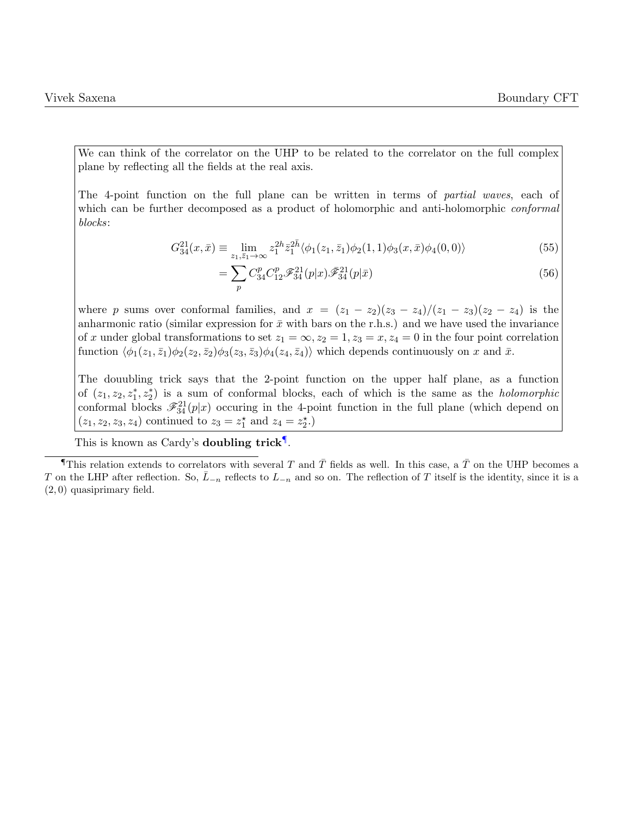We can think of the correlator on the UHP to be related to the correlator on the full complex plane by reflecting all the fields at the real axis.

The 4-point function on the full plane can be written in terms of partial waves, each of which can be further decomposed as a product of holomorphic and anti-holomorphic *conformal* blocks:

$$
G_{34}^{21}(x,\bar{x}) \equiv \lim_{z_1,\bar{z}_1 \to \infty} z_1^{2h} \bar{z}_1^{2\bar{h}} \langle \phi_1(z_1,\bar{z}_1)\phi_2(1,1)\phi_3(x,\bar{x})\phi_4(0,0) \rangle \tag{55}
$$

$$
=\sum_{p} C_{34}^{p} C_{12}^{p} \mathcal{F}_{34}^{21}(p|x) \bar{\mathcal{F}}_{34}^{21}(p|\bar{x})
$$
\n(56)

where p sums over conformal families, and  $x = (z_1 - z_2)(z_3 - z_4)/(z_1 - z_3)(z_2 - z_4)$  is the anharmonic ratio (similar expression for  $\bar{x}$  with bars on the r.h.s.) and we have used the invariance of x under global transformations to set  $z_1 = \infty, z_2 = 1, z_3 = x, z_4 = 0$  in the four point correlation function  $\langle \phi_1(z_1, \bar{z}_1)\phi_2(z_2, \bar{z}_2)\phi_3(z_3, \bar{z}_3)\phi_4(z_4, \bar{z}_4)\rangle$  which depends continuously on x and  $\bar{x}$ .

The douubling trick says that the 2-point function on the upper half plane, as a function of  $(z_1, z_2, z_1^*, z_2^*)$  is a sum of conformal blocks, each of which is the same as the *holomorphic* conformal blocks  $\mathscr{F}_{34}^{21}(p|x)$  occuring in the 4-point function in the full plane (which depend on  $(z_1, z_2, z_3, z_4)$  continued to  $z_3 = z_1^*$  and  $z_4 = z_2^*$ .

This is known as Cardy's doubling trick<sup>[¶](#page-0-0)</sup>.

**This relation extends to correlators with several T and T fields as well. In this case, a T on the UHP becomes a** T on the LHP after reflection. So,  $\bar{L}_{-n}$  reflects to  $L_{-n}$  and so on. The reflection of T itself is the identity, since it is a (2, 0) quasiprimary field.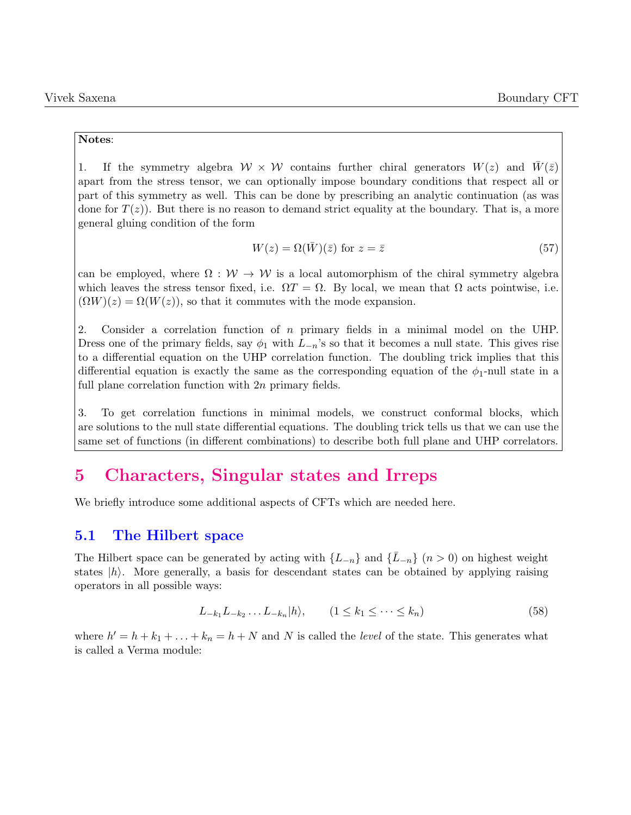#### Notes:

1. If the symmetry algebra  $W \times W$  contains further chiral generators  $W(z)$  and  $\overline{W}(\overline{z})$ apart from the stress tensor, we can optionally impose boundary conditions that respect all or part of this symmetry as well. This can be done by prescribing an analytic continuation (as was done for  $T(z)$ ). But there is no reason to demand strict equality at the boundary. That is, a more general gluing condition of the form

$$
W(z) = \Omega(\bar{W})(\bar{z}) \text{ for } z = \bar{z}
$$
\n<sup>(57)</sup>

can be employed, where  $\Omega : \mathcal{W} \to \mathcal{W}$  is a local automorphism of the chiral symmetry algebra which leaves the stress tensor fixed, i.e.  $\Omega T = \Omega$ . By local, we mean that  $\Omega$  acts pointwise, i.e.  $(\Omega W)(z) = \Omega(W(z))$ , so that it commutes with the mode expansion.

2. Consider a correlation function of n primary fields in a minimal model on the UHP. Dress one of the primary fields, say  $\phi_1$  with  $L_{-n}$ 's so that it becomes a null state. This gives rise to a differential equation on the UHP correlation function. The doubling trick implies that this differential equation is exactly the same as the corresponding equation of the  $\phi_1$ -null state in a full plane correlation function with 2n primary fields.

3. To get correlation functions in minimal models, we construct conformal blocks, which are solutions to the null state differential equations. The doubling trick tells us that we can use the same set of functions (in different combinations) to describe both full plane and UHP correlators.

### <span id="page-17-0"></span>5 Characters, Singular states and Irreps

We briefly introduce some additional aspects of CFTs which are needed here.

#### <span id="page-17-1"></span>5.1 The Hilbert space

The Hilbert space can be generated by acting with  $\{L_{-n}\}\$  and  $\{L_{-n}\}(n>0)$  on highest weight states  $|h\rangle$ . More generally, a basis for descendant states can be obtained by applying raising operators in all possible ways:

$$
L_{-k_1}L_{-k_2}\dots L_{-k_n}|h\rangle, \qquad (1\le k_1\le\cdots\le k_n) \tag{58}
$$

where  $h' = h + k_1 + \ldots + k_n = h + N$  and N is called the *level* of the state. This generates what is called a Verma module: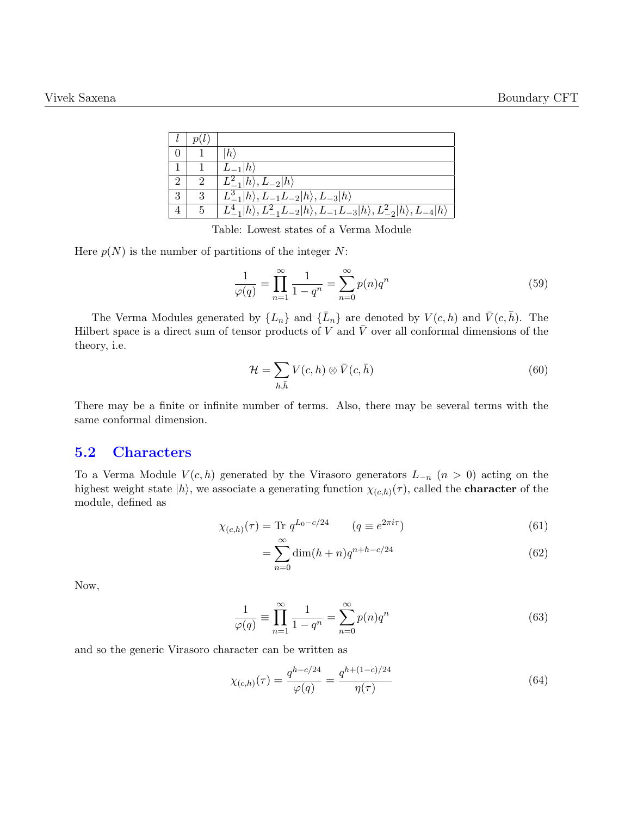|                |   | $ h\rangle$                                                                                                   |
|----------------|---|---------------------------------------------------------------------------------------------------------------|
|                |   | $L_{-1} h\rangle$                                                                                             |
| $\overline{2}$ |   | $L_{-1}^2 h\rangle, L_{-2} h\rangle$                                                                          |
| 3              | 3 | $L_{-1}^3 h\rangle, L_{-1}L_{-2} h\rangle, L_{-3} h\rangle$                                                   |
|                |   | $L_{-1}^{4} h\rangle, L_{-1}^{2}L_{-2} h\rangle, L_{-1}L_{-3} h\rangle, L_{-2}^{2} h\rangle, L_{-4} h\rangle$ |

Table: Lowest states of a Verma Module

Here  $p(N)$  is the number of partitions of the integer N:

$$
\frac{1}{\varphi(q)} = \prod_{n=1}^{\infty} \frac{1}{1 - q^n} = \sum_{n=0}^{\infty} p(n) q^n
$$
\n(59)

The Verma Modules generated by  $\{L_n\}$  and  $\{\bar{L}_n\}$  are denoted by  $V(c, h)$  and  $\bar{V}(c, \bar{h})$ . The Hilbert space is a direct sum of tensor products of V and  $\overline{V}$  over all conformal dimensions of the theory, i.e.

$$
\mathcal{H} = \sum_{h,\bar{h}} V(c,h) \otimes \bar{V}(c,\bar{h}) \tag{60}
$$

There may be a finite or infinite number of terms. Also, there may be several terms with the same conformal dimension.

#### <span id="page-18-0"></span>5.2 Characters

To a Verma Module  $V(c, h)$  generated by the Virasoro generators  $L_{-n}$   $(n > 0)$  acting on the highest weight state  $|h\rangle$ , we associate a generating function  $\chi_{(c,h)}(\tau)$ , called the **character** of the module, defined as

$$
\chi_{(c,h)}(\tau) = \text{Tr } q^{L_0 - c/24} \qquad (q \equiv e^{2\pi i \tau}) \tag{61}
$$

$$
=\sum_{n=0}^{\infty} \dim(h+n)q^{n+h-c/24}
$$
\n(62)

Now,

$$
\frac{1}{\varphi(q)} \equiv \prod_{n=1}^{\infty} \frac{1}{1 - q^n} = \sum_{n=0}^{\infty} p(n) q^n
$$
\n(63)

and so the generic Virasoro character can be written as

$$
\chi_{(c,h)}(\tau) = \frac{q^{h-c/24}}{\varphi(q)} = \frac{q^{h+(1-c)/24}}{\eta(\tau)}
$$
(64)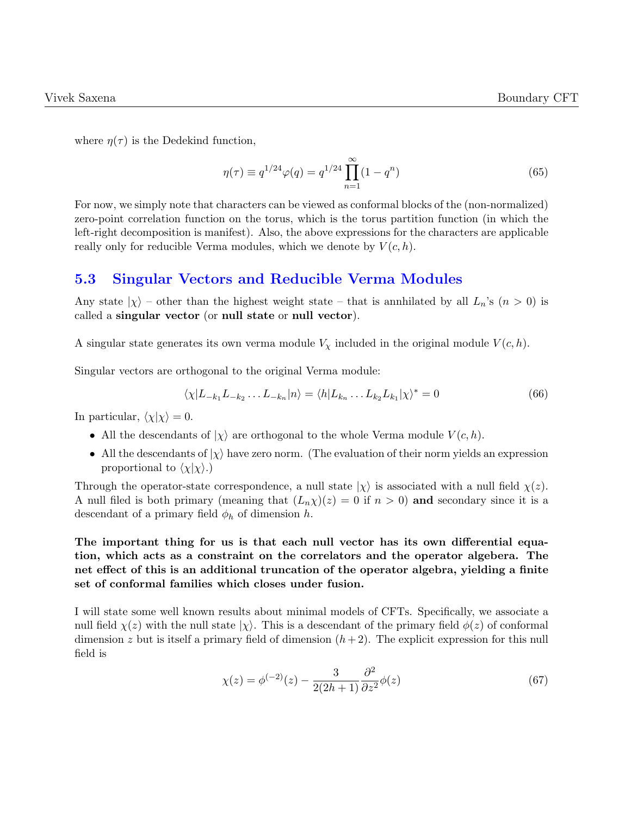where  $\eta(\tau)$  is the Dedekind function,

$$
\eta(\tau) \equiv q^{1/24} \varphi(q) = q^{1/24} \prod_{n=1}^{\infty} (1 - q^n)
$$
\n(65)

For now, we simply note that characters can be viewed as conformal blocks of the (non-normalized) zero-point correlation function on the torus, which is the torus partition function (in which the left-right decomposition is manifest). Also, the above expressions for the characters are applicable really only for reducible Verma modules, which we denote by  $V(c, h)$ .

### <span id="page-19-0"></span>5.3 Singular Vectors and Reducible Verma Modules

Any state  $|\chi\rangle$  – other than the highest weight state – that is annihilated by all  $L_n$ 's  $(n > 0)$  is called a singular vector (or null state or null vector).

A singular state generates its own verma module  $V_{\chi}$  included in the original module  $V(c, h)$ .

Singular vectors are orthogonal to the original Verma module:

$$
\langle \chi | L_{-k_1} L_{-k_2} \dots L_{-k_n} | n \rangle = \langle h | L_{k_n} \dots L_{k_2} L_{k_1} | \chi \rangle^* = 0 \tag{66}
$$

In particular,  $\langle \chi | \chi \rangle = 0$ .

- All the descendants of  $|\chi\rangle$  are orthogonal to the whole Verma module  $V(c, h)$ .
- All the descendants of  $|\chi\rangle$  have zero norm. (The evaluation of their norm yields an expression proportional to  $\langle \chi | \chi \rangle$ .)

Through the operator-state correspondence, a null state  $|\chi\rangle$  is associated with a null field  $\chi(z)$ . A null filed is both primary (meaning that  $(L_n\chi)(z) = 0$  if  $n > 0$ ) and secondary since it is a descendant of a primary field  $\phi_h$  of dimension h.

The important thing for us is that each null vector has its own differential equation, which acts as a constraint on the correlators and the operator algebera. The net effect of this is an additional truncation of the operator algebra, yielding a finite set of conformal families which closes under fusion.

I will state some well known results about minimal models of CFTs. Specifically, we associate a null field  $\chi(z)$  with the null state  $|\chi\rangle$ . This is a descendant of the primary field  $\phi(z)$  of conformal dimension z but is itself a primary field of dimension  $(h + 2)$ . The explicit expression for this null field is

$$
\chi(z) = \phi^{(-2)}(z) - \frac{3}{2(2h+1)} \frac{\partial^2}{\partial z^2} \phi(z)
$$
\n(67)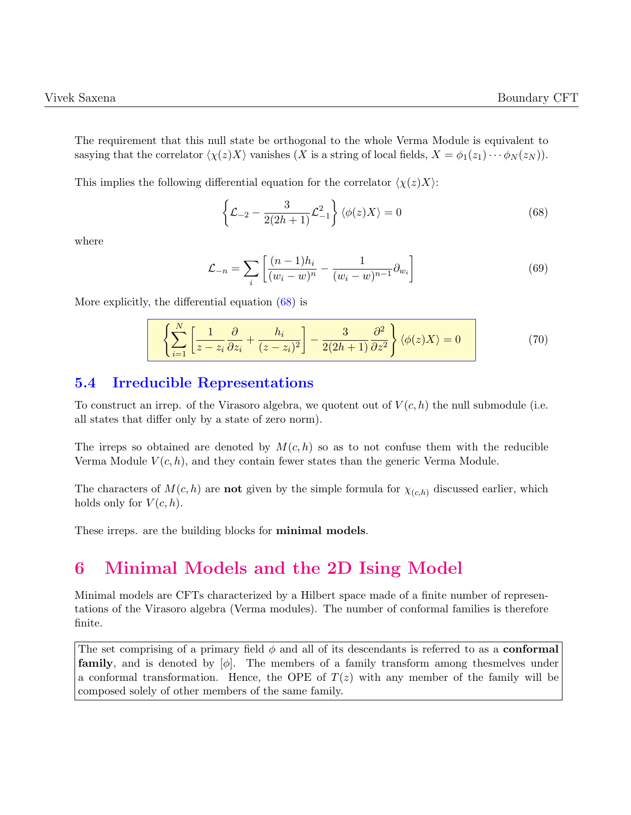The requirement that this null state be orthogonal to the whole Verma Module is equivalent to sasying that the correlator  $\langle \chi(z)X \rangle$  vanishes (X is a string of local fields,  $X = \phi_1(z_1) \cdots \phi_N(z_N)$ ).

This implies the following differential equation for the correlator  $\langle \chi(z)X \rangle$ :

<span id="page-20-2"></span>
$$
\left\{\mathcal{L}_{-2} - \frac{3}{2(2h+1)}\mathcal{L}_{-1}^2\right\} \langle \phi(z)X \rangle = 0 \tag{68}
$$

where

$$
\mathcal{L}_{-n} = \sum_{i} \left[ \frac{(n-1)h_i}{(w_i - w)^n} - \frac{1}{(w_i - w)^{n-1}} \partial_{w_i} \right]
$$
(69)

More explicitly, the differential equation  $(68)$  is

$$
\sum_{i=1}^{N} \left[ \frac{1}{z - z_i} \frac{\partial}{\partial z_i} + \frac{h_i}{(z - z_i)^2} \right] - \frac{3}{2(2h+1)} \frac{\partial^2}{\partial z^2} \left\{ \phi(z) X \right\} = 0 \tag{70}
$$

### <span id="page-20-0"></span>5.4 Irreducible Representations

To construct an irrep. of the Virasoro algebra, we quotent out of  $V(c, h)$  the null submodule (i.e. all states that differ only by a state of zero norm).

The irreps so obtained are denoted by  $M(c, h)$  so as to not confuse them with the reducible Verma Module  $V(c, h)$ , and they contain fewer states than the generic Verma Module.

The characters of  $M(c, h)$  are **not** given by the simple formula for  $\chi_{(c,h)}$  discussed earlier, which holds only for  $V(c, h)$ .

These irreps. are the building blocks for minimal models.

# <span id="page-20-1"></span>6 Minimal Models and the 2D Ising Model

Minimal models are CFTs characterized by a Hilbert space made of a finite number of representations of the Virasoro algebra (Verma modules). The number of conformal families is therefore finite.

The set comprising of a primary field  $\phi$  and all of its descendants is referred to as a **conformal family**, and is denoted by  $[\phi]$ . The members of a family transform among thesmelves under a conformal transformation. Hence, the OPE of  $T(z)$  with any member of the family will be composed solely of other members of the same family.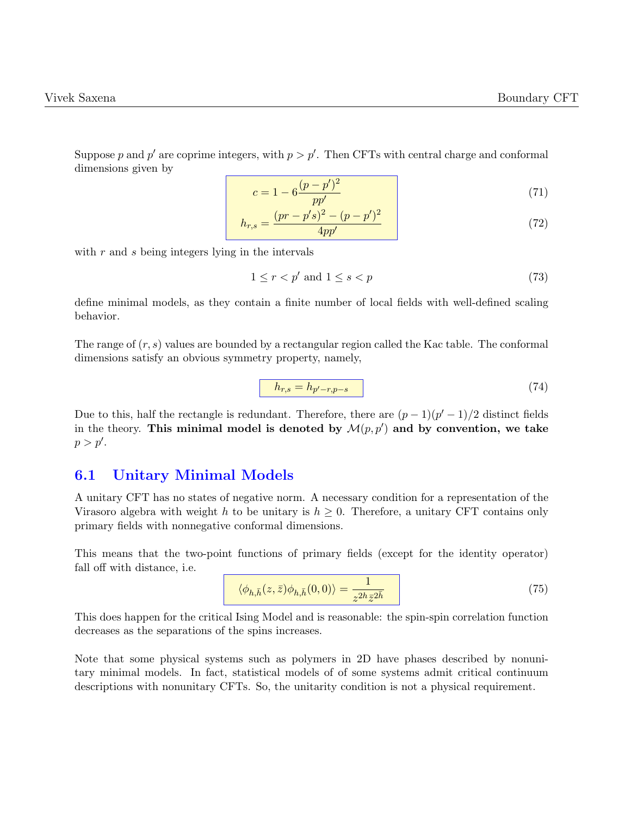Suppose p and p' are coprime integers, with  $p > p'$ . Then CFTs with central charge and conformal dimensions given by

$$
c = 1 - 6\frac{(p - p')^2}{pp'}\tag{71}
$$

$$
h_{r,s} = \frac{(pr - p's)^2 - (p - p')^2}{4pp'} \tag{72}
$$

with r and s being integers lying in the intervals

$$
1 \le r < p' \text{ and } 1 \le s < p \tag{73}
$$

define minimal models, as they contain a finite number of local fields with well-defined scaling behavior.

The range of  $(r, s)$  values are bounded by a rectangular region called the Kac table. The conformal dimensions satisfy an obvious symmetry property, namely,

$$
h_{r,s} = h_{p'-r,p-s} \tag{74}
$$

Due to this, half the rectangle is redundant. Therefore, there are  $(p-1)(p'-1)/2$  distinct fields in the theory. This minimal model is denoted by  $\mathcal{M}(p,p')$  and by convention, we take  $p > p'.$ 

#### <span id="page-21-0"></span>6.1 Unitary Minimal Models

A unitary CFT has no states of negative norm. A necessary condition for a representation of the Virasoro algebra with weight h to be unitary is  $h \geq 0$ . Therefore, a unitary CFT contains only primary fields with nonnegative conformal dimensions.

This means that the two-point functions of primary fields (except for the identity operator) fall off with distance, i.e.

$$
\langle \phi_{h,\bar{h}}(z,\bar{z})\phi_{h,\bar{h}}(0,0)\rangle = \frac{1}{z^{2h}\bar{z}^{2\bar{h}}}
$$
\n(75)

This does happen for the critical Ising Model and is reasonable: the spin-spin correlation function decreases as the separations of the spins increases.

Note that some physical systems such as polymers in 2D have phases described by nonunitary minimal models. In fact, statistical models of of some systems admit critical continuum descriptions with nonunitary CFTs. So, the unitarity condition is not a physical requirement.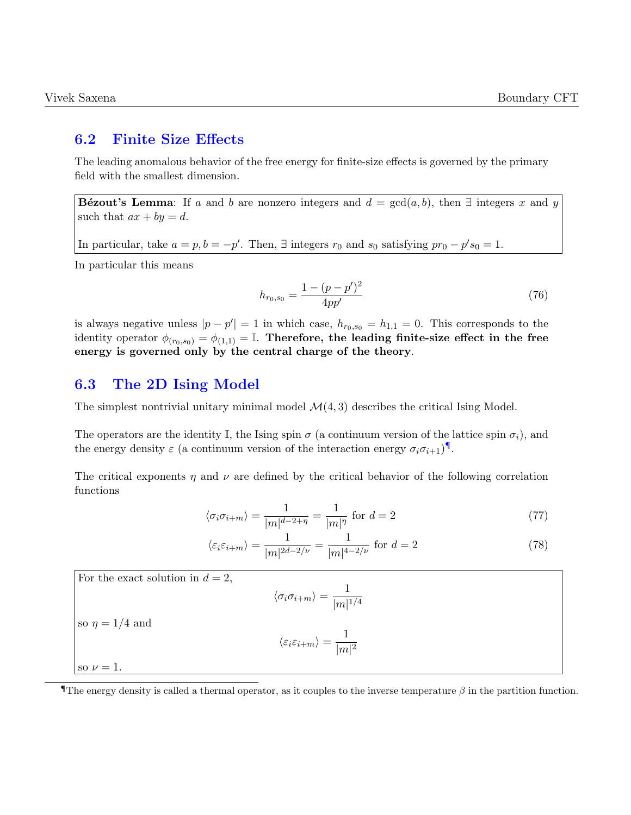#### <span id="page-22-0"></span>6.2 Finite Size Effects

The leading anomalous behavior of the free energy for finite-size effects is governed by the primary field with the smallest dimension.

Bézout's Lemma: If a and b are nonzero integers and  $d = \gcd(a, b)$ , then ∃ integers x and y such that  $ax + by = d$ .

In particular, take  $a = p$ ,  $b = -p'$ . Then,  $\exists$  integers  $r_0$  and  $s_0$  satisfying  $pr_0 - p' s_0 = 1$ .

In particular this means

$$
h_{r_0, s_0} = \frac{1 - (p - p')^2}{4pp'}\tag{76}
$$

is always negative unless  $|p - p'| = 1$  in which case,  $h_{r_0,s_0} = h_{1,1} = 0$ . This corresponds to the identity operator  $\phi_{(r_0,s_0)} = \phi_{(1,1)} = \mathbb{I}$ . Therefore, the leading finite-size effect in the free energy is governed only by the central charge of the theory.

#### <span id="page-22-1"></span>6.3 The 2D Ising Model

The simplest nontrivial unitary minimal model  $\mathcal{M}(4, 3)$  describes the critical Ising Model.

The operators are the identity I, the Ising spin  $\sigma$  (a continuum version of the lattice spin  $\sigma_i$ ), and the energy density  $\varepsilon$  (a continuum version of the interaction energy  $\sigma_i \sigma_{i+1}$ )<sup>[¶](#page-0-0)</sup>.

The critical exponents  $\eta$  and  $\nu$  are defined by the critical behavior of the following correlation functions

$$
\langle \sigma_i \sigma_{i+m} \rangle = \frac{1}{|m|^{d-2+\eta}} = \frac{1}{|m|^\eta} \text{ for } d = 2 \tag{77}
$$

$$
\langle \varepsilon_i \varepsilon_{i+m} \rangle = \frac{1}{|m|^{2d-2/\nu}} = \frac{1}{|m|^{4-2/\nu}} \text{ for } d = 2
$$
 (78)

For the exact solution in 
$$
d = 2
$$
,  
\n
$$
\langle \sigma_i \sigma_{i+m} \rangle = \frac{1}{|m|^{1/4}}
$$
\nso  $\eta = 1/4$  and  
\n
$$
\langle \varepsilon_i \varepsilon_{i+m} \rangle = \frac{1}{|m|^2}
$$
\nso  $\nu = 1$ .

The energy density is called a thermal operator, as it couples to the inverse temperature  $\beta$  in the partition function.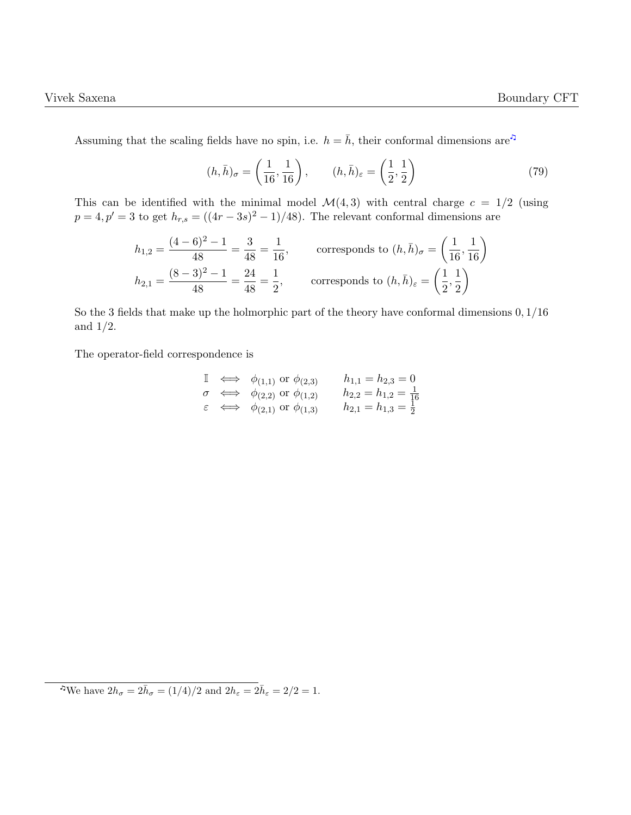Assuming that the scaling fields have no spin, i.e.  $h = \bar{h}$ , their conformal dimensions are<sup>2</sup>

$$
(h,\bar{h})_{\sigma} = \left(\frac{1}{16}, \frac{1}{16}\right), \qquad (h,\bar{h})_{\varepsilon} = \left(\frac{1}{2}, \frac{1}{2}\right)
$$
 (79)

This can be identified with the minimal model  $\mathcal{M}(4,3)$  with central charge  $c = 1/2$  (using  $p = 4, p' = 3$  to get  $h_{r,s} = ((4r - 3s)^2 - 1)/48$ . The relevant conformal dimensions are

$$
h_{1,2} = \frac{(4-6)^2 - 1}{48} = \frac{3}{48} = \frac{1}{16},
$$
 corresponds to  $(h, \bar{h})_{\sigma} = \left(\frac{1}{16}, \frac{1}{16}\right)$   

$$
h_{2,1} = \frac{(8-3)^2 - 1}{48} = \frac{24}{48} = \frac{1}{2},
$$
 corresponds to  $(h, \bar{h})_{\varepsilon} = \left(\frac{1}{2}, \frac{1}{2}\right)$ 

So the 3 fields that make up the holmorphic part of the theory have conformal dimensions 0, 1/16 and  $1/2$ .

The operator-field correspondence is

$$
\begin{array}{lll}\n\mathbb{I} & \iff & \phi_{(1,1)} \text{ or } \phi_{(2,3)} \quad h_{1,1} = h_{2,3} = 0 \\
\sigma & \iff & \phi_{(2,2)} \text{ or } \phi_{(1,2)} \quad h_{2,2} = h_{1,2} = \frac{1}{16} \\
\varepsilon & \iff & \phi_{(2,1)} \text{ or } \phi_{(1,3)} \quad h_{2,1} = h_{1,3} = \frac{1}{2}\n\end{array}
$$

**<sup>•</sup> We have**  $2h_{\sigma} = 2\bar{h}_{\sigma} = (1/4)/2$  **and**  $2h_{\varepsilon} = 2\bar{h}_{\varepsilon} = 2/2 = 1$ **.**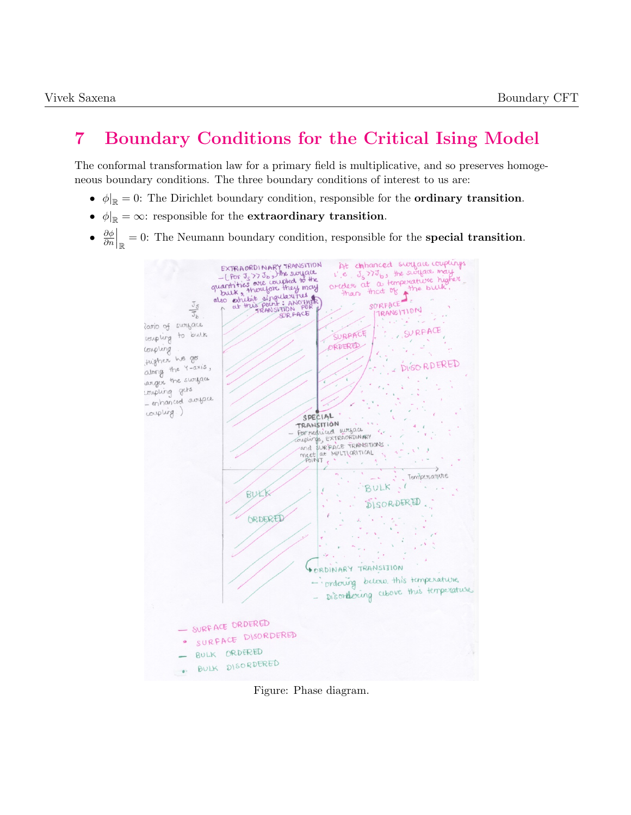# <span id="page-24-0"></span>7 Boundary Conditions for the Critical Ising Model

The conformal transformation law for a primary field is multiplicative, and so preserves homogeneous boundary conditions. The three boundary conditions of interest to us are:

- $\phi|_{\mathbb{R}} = 0$ : The Dirichlet boundary condition, responsible for the **ordinary transition**.
- $\phi|_{\mathbb{R}} = \infty$ : responsible for the **extraordinary transition**.
- $\bullet$   $\frac{\partial \phi}{\partial n}$  $\frac{\partial \phi}{\partial n}\Big|_{\mathbb{R}}=0$ : The Neumann boundary condition, responsible for the **special transition**.



Figure: Phase diagram.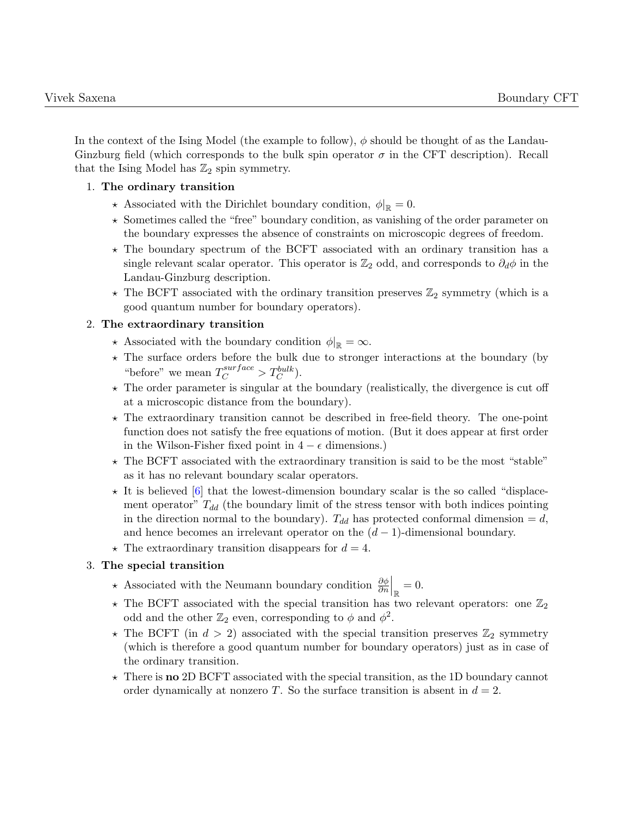In the context of the Ising Model (the example to follow),  $\phi$  should be thought of as the Landau-Ginzburg field (which corresponds to the bulk spin operator  $\sigma$  in the CFT description). Recall that the Ising Model has  $\mathbb{Z}_2$  spin symmetry.

#### 1. The ordinary transition

- $\star$  Associated with the Dirichlet boundary condition,  $\phi|_{\mathbb{R}} = 0$ .
- $\star$  Sometimes called the "free" boundary condition, as vanishing of the order parameter on the boundary expresses the absence of constraints on microscopic degrees of freedom.
- $\star$  The boundary spectrum of the BCFT associated with an ordinary transition has a single relevant scalar operator. This operator is  $\mathbb{Z}_2$  odd, and corresponds to  $\partial_d\phi$  in the Landau-Ginzburg description.
- $\star$  The BCFT associated with the ordinary transition preserves  $\mathbb{Z}_2$  symmetry (which is a good quantum number for boundary operators).

#### 2. The extraordinary transition

- $\star$  Associated with the boundary condition  $\phi|_{\mathbb{R}} = \infty$ .
- $\star$  The surface orders before the bulk due to stronger interactions at the boundary (by "before" we mean  $T_C^{surface} > T_C^{bulk}$ .
- $\star$  The order parameter is singular at the boundary (realistically, the divergence is cut off at a microscopic distance from the boundary).
- $\star$  The extraordinary transition cannot be described in free-field theory. The one-point function does not satisfy the free equations of motion. (But it does appear at first order in the Wilson-Fisher fixed point in  $4 - \epsilon$  dimensions.)
- $\star$  The BCFT associated with the extraordinary transition is said to be the most "stable" as it has no relevant boundary scalar operators.
- $\star$  It is believed [\[6\]](#page-37-2) that the lowest-dimension boundary scalar is the so called "displacement operator"  $T_{dd}$  (the boundary limit of the stress tensor with both indices pointing in the direction normal to the boundary).  $T_{dd}$  has protected conformal dimension  $=d$ , and hence becomes an irrelevant operator on the  $(d-1)$ -dimensional boundary.
- $\star$  The extraordinary transition disappears for  $d = 4$ .

#### 3. The special transition

- ★ Associated with the Neumann boundary condition  $\frac{\partial \phi}{\partial n}\Big|_{\mathbb{R}}=0.$
- $\star$  The BCFT associated with the special transition has two relevant operators: one  $\mathbb{Z}_2$ odd and the other  $\mathbb{Z}_2$  even, corresponding to  $\phi$  and  $\phi^2$ .
- $\star$  The BCFT (in  $d > 2$ ) associated with the special transition preserves  $\mathbb{Z}_2$  symmetry (which is therefore a good quantum number for boundary operators) just as in case of the ordinary transition.
- $\star$  There is no 2D BCFT associated with the special transition, as the 1D boundary cannot order dynamically at nonzero T. So the surface transition is absent in  $d = 2$ .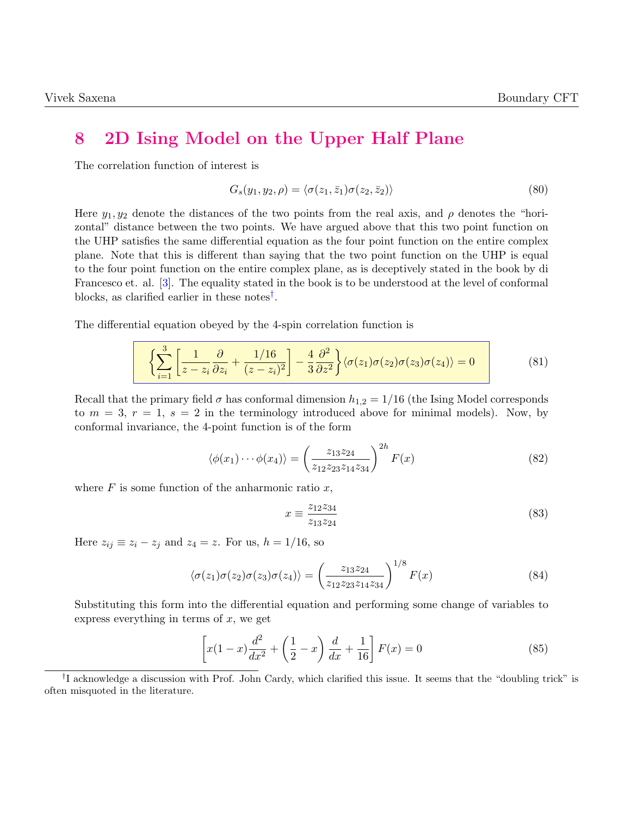### <span id="page-26-0"></span>8 2D Ising Model on the Upper Half Plane

The correlation function of interest is

$$
G_s(y_1, y_2, \rho) = \langle \sigma(z_1, \bar{z}_1) \sigma(z_2, \bar{z}_2) \rangle \tag{80}
$$

Here  $y_1, y_2$  denote the distances of the two points from the real axis, and  $\rho$  denotes the "horizontal" distance between the two points. We have argued above that this two point function on the UHP satisfies the same differential equation as the four point function on the entire complex plane. Note that this is different than saying that the two point function on the UHP is equal to the four point function on the entire complex plane, as is deceptively stated in the book by di Francesco et. al. [\[3\]](#page-37-3). The equality stated in the book is to be understood at the level of conformal blocks, as clarified earlier in these notes[†](#page-0-0) .

The differential equation obeyed by the 4-spin correlation function is

$$
\left\{\sum_{i=1}^{3} \left[\frac{1}{z-z_i} \frac{\partial}{\partial z_i} + \frac{1/16}{(z-z_i)^2}\right] - \frac{4}{3} \frac{\partial^2}{\partial z^2}\right\} \langle \sigma(z_1) \sigma(z_2) \sigma(z_3) \sigma(z_4) \rangle = 0 \tag{81}
$$

Recall that the primary field  $\sigma$  has conformal dimension  $h_{1,2} = 1/16$  (the Ising Model corresponds to  $m = 3$ ,  $r = 1$ ,  $s = 2$  in the terminology introduced above for minimal models). Now, by conformal invariance, the 4-point function is of the form

$$
\langle \phi(x_1) \cdots \phi(x_4) \rangle = \left(\frac{z_{13} z_{24}}{z_{12} z_{23} z_{14} z_{34}}\right)^{2h} F(x) \tag{82}
$$

where  $F$  is some function of the anharmonic ratio  $x$ ,

$$
x \equiv \frac{z_{12}z_{34}}{z_{13}z_{24}} \tag{83}
$$

Here  $z_{ij} \equiv z_i - z_j$  and  $z_4 = z$ . For us,  $h = 1/16$ , so

$$
\langle \sigma(z_1)\sigma(z_2)\sigma(z_3)\sigma(z_4) \rangle = \left(\frac{z_{13}z_{24}}{z_{12}z_{23}z_{14}z_{34}}\right)^{1/8} F(x)
$$
\n(84)

Substituting this form into the differential equation and performing some change of variables to express everything in terms of  $x$ , we get

$$
\[x(1-x)\frac{d^2}{dx^2} + \left(\frac{1}{2} - x\right)\frac{d}{dx} + \frac{1}{16}\]F(x) = 0\tag{85}
$$

<sup>†</sup> I acknowledge a discussion with Prof. John Cardy, which clarified this issue. It seems that the "doubling trick" is often misquoted in the literature.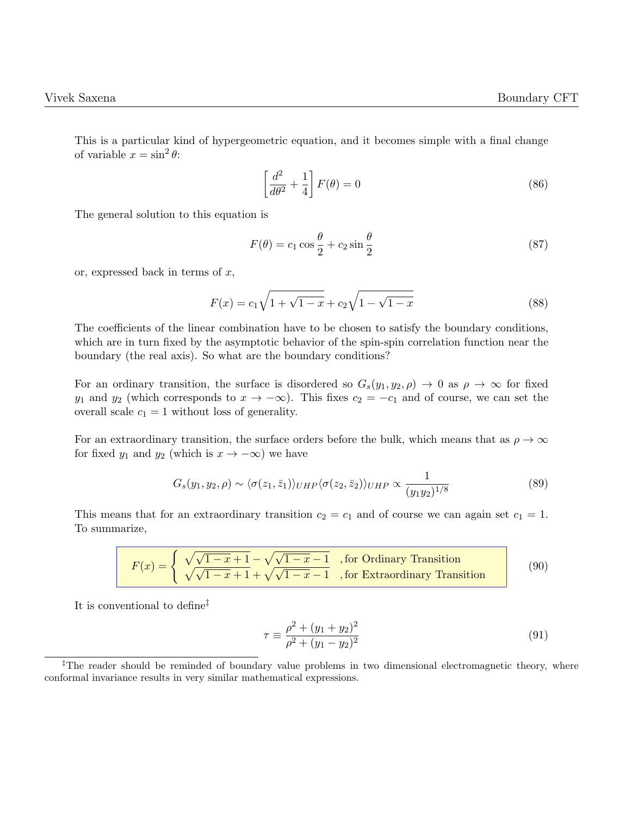This is a particular kind of hypergeometric equation, and it becomes simple with a final change of variable  $x = \sin^2 \theta$ :

$$
\left[\frac{d^2}{d\theta^2} + \frac{1}{4}\right]F(\theta) = 0\tag{86}
$$

The general solution to this equation is

$$
F(\theta) = c_1 \cos \frac{\theta}{2} + c_2 \sin \frac{\theta}{2}
$$
 (87)

or, expressed back in terms of  $x$ ,

$$
F(x) = c_1 \sqrt{1 + \sqrt{1 - x}} + c_2 \sqrt{1 - \sqrt{1 - x}}
$$
\n(88)

The coefficients of the linear combination have to be chosen to satisfy the boundary conditions, which are in turn fixed by the asymptotic behavior of the spin-spin correlation function near the boundary (the real axis). So what are the boundary conditions?

For an ordinary transition, the surface is disordered so  $G_s(y_1, y_2, \rho) \to 0$  as  $\rho \to \infty$  for fixed y<sub>1</sub> and y<sub>2</sub> (which corresponds to  $x \to -\infty$ ). This fixes  $c_2 = -c_1$  and of course, we can set the overall scale  $c_1 = 1$  without loss of generality.

For an extraordinary transition, the surface orders before the bulk, which means that as  $\rho \to \infty$ for fixed  $y_1$  and  $y_2$  (which is  $x \to -\infty$ ) we have

$$
G_s(y_1, y_2, \rho) \sim \langle \sigma(z_1, \bar{z}_1) \rangle_{UHP} \langle \sigma(z_2, \bar{z}_2) \rangle_{UHP} \propto \frac{1}{(y_1 y_2)^{1/8}}
$$
(89)

This means that for an extraordinary transition  $c_2 = c_1$  and of course we can again set  $c_1 = 1$ . To summarize,

$$
F(x) = \begin{cases} \sqrt{\sqrt{1-x} + 1} - \sqrt{\sqrt{1-x} - 1} & \text{, for Ordinary Transition} \\ \sqrt{\sqrt{1-x} + 1} + \sqrt{\sqrt{1-x} - 1} & \text{, for Extractinary Transition} \end{cases}
$$
(90)

It is conventional to define[‡](#page-0-0)

$$
\tau \equiv \frac{\rho^2 + (y_1 + y_2)^2}{\rho^2 + (y_1 - y_2)^2} \tag{91}
$$

<sup>&</sup>lt;sup>‡</sup>The reader should be reminded of boundary value problems in two dimensional electromagnetic theory, where conformal invariance results in very similar mathematical expressions.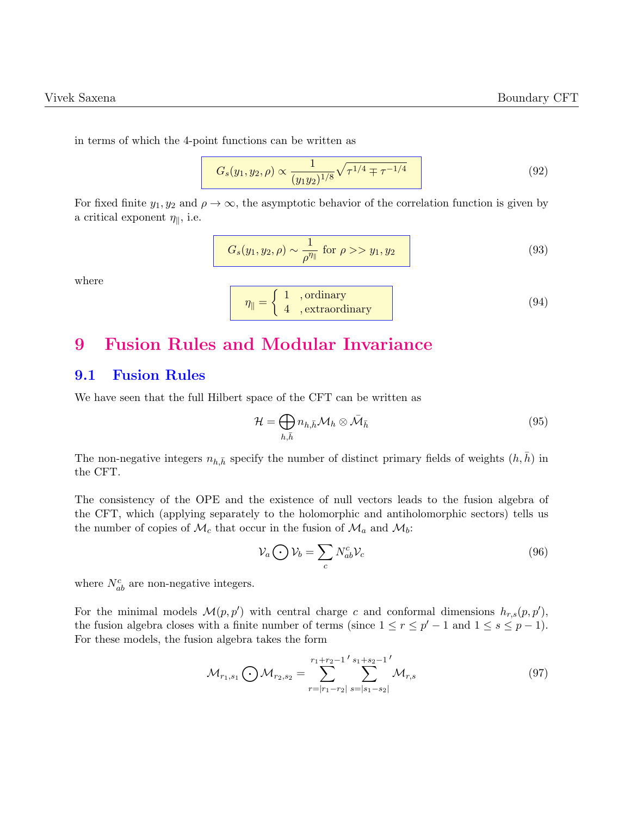in terms of which the 4-point functions can be written as

$$
G_s(y_1, y_2, \rho) \propto \frac{1}{(y_1 y_2)^{1/8}} \sqrt{\tau^{1/4} \mp \tau^{-1/4}}
$$
\n(92)

For fixed finite  $y_1, y_2$  and  $\rho \to \infty$ , the asymptotic behavior of the correlation function is given by a critical exponent  $\eta_{\parallel}$ , i.e.

$$
G_s(y_1, y_2, \rho) \sim \frac{1}{\rho^{\eta_{\parallel}}} \text{ for } \rho >> y_1, y_2 \tag{93}
$$

where

$$
\eta_{\parallel} = \left\{ \begin{array}{c} 1 \quad , \text{ordinary} \\ 4 \quad , \text{extraordinary} \end{array} \right. \tag{94}
$$

# <span id="page-28-0"></span>9 Fusion Rules and Modular Invariance

### <span id="page-28-1"></span>9.1 Fusion Rules

We have seen that the full Hilbert space of the CFT can be written as

$$
\mathcal{H} = \bigoplus_{h,\bar{h}} n_{h,\bar{h}} \mathcal{M}_h \otimes \bar{\mathcal{M}}_{\bar{h}}
$$
(95)

The non-negative integers  $n_{h,\bar{h}}$  specify the number of distinct primary fields of weights  $(h,\bar{h})$  in the CFT.

The consistency of the OPE and the existence of null vectors leads to the fusion algebra of the CFT, which (applying separately to the holomorphic and antiholomorphic sectors) tells us the number of copies of  $\mathcal{M}_c$  that occur in the fusion of  $\mathcal{M}_a$  and  $\mathcal{M}_b$ :

$$
\mathcal{V}_a \bigodot \mathcal{V}_b = \sum_c N_{ab}^c \mathcal{V}_c \tag{96}
$$

where  $N_{ab}^c$  are non-negative integers.

For the minimal models  $\mathcal{M}(p, p')$  with central charge c and conformal dimensions  $h_{r,s}(p, p')$ , the fusion algebra closes with a finite number of terms (since  $1 \le r \le p' - 1$  and  $1 \le s \le p - 1$ ). For these models, the fusion algebra takes the form

$$
\mathcal{M}_{r_1,s_1} \bigodot \mathcal{M}_{r_2,s_2} = \sum_{r=|r_1-r_2|}^{r_1+r_2-1} \sum_{s=|s_1-s_2|}^{s_1+s_2-1} \mathcal{M}_{r,s} \tag{97}
$$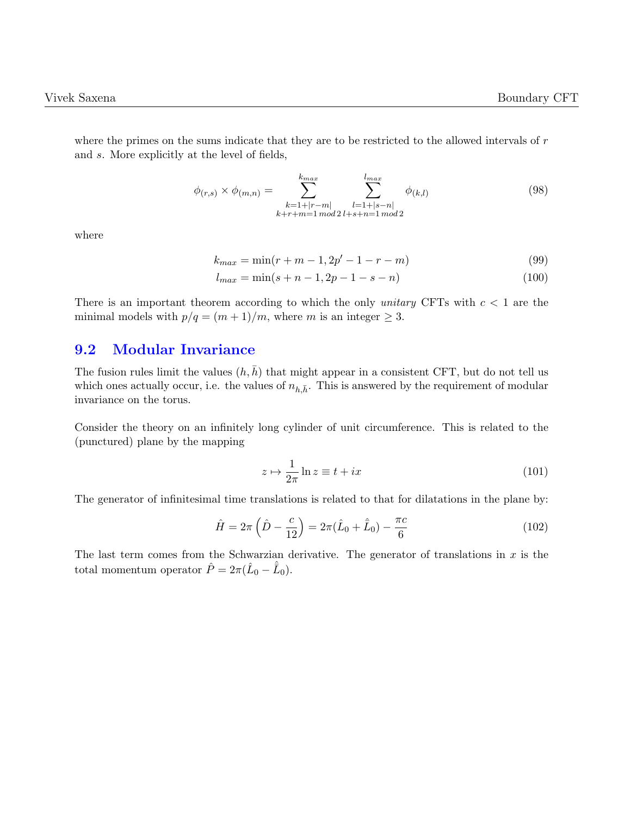where the primes on the sums indicate that they are to be restricted to the allowed intervals of r and s. More explicitly at the level of fields,

$$
\phi_{(r,s)} \times \phi_{(m,n)} = \sum_{\substack{k=1+|r-m|\\k+r+m=1 \bmod 2}}^{k_{max}} \sum_{\substack{l=1+|s-n|\\l=1+|s-n|\\n\mod 2}}^{l_{max}} \phi_{(k,l)} \tag{98}
$$

where

$$
k_{max} = \min(r + m - 1, 2p' - 1 - r - m)
$$
\n(99)

$$
l_{max} = \min(s + n - 1, 2p - 1 - s - n)
$$
\n(100)

There is an important theorem according to which the only *unitary* CFTs with  $c < 1$  are the minimal models with  $p/q = (m+1)/m$ , where m is an integer  $\geq 3$ .

#### <span id="page-29-0"></span>9.2 Modular Invariance

The fusion rules limit the values  $(h, \bar{h})$  that might appear in a consistent CFT, but do not tell us which ones actually occur, i.e. the values of  $n_{h,\bar{h}}$ . This is answered by the requirement of modular invariance on the torus.

Consider the theory on an infinitely long cylinder of unit circumference. This is related to the (punctured) plane by the mapping

$$
z \mapsto \frac{1}{2\pi} \ln z \equiv t + ix \tag{101}
$$

The generator of infinitesimal time translations is related to that for dilatations in the plane by:

$$
\hat{H} = 2\pi \left( \hat{D} - \frac{c}{12} \right) = 2\pi (\hat{L}_0 + \hat{\bar{L}}_0) - \frac{\pi c}{6}
$$
\n(102)

The last term comes from the Schwarzian derivative. The generator of translations in  $x$  is the total momentum operator  $\hat{P} = 2\pi(\hat{L}_0 - \hat{\bar{L}}_0)$ .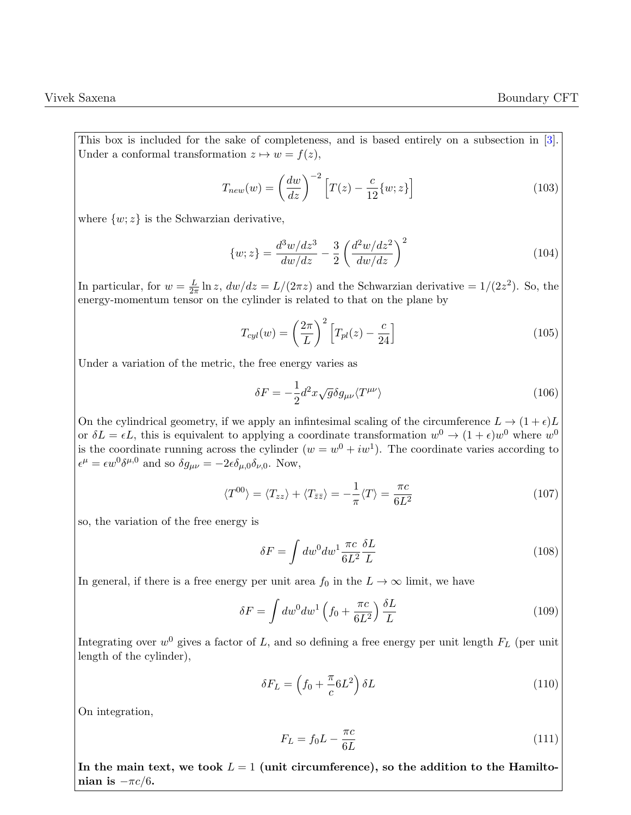This box is included for the sake of completeness, and is based entirely on a subsection in [\[3\]](#page-37-3). Under a conformal transformation  $z \mapsto w = f(z)$ ,

$$
T_{new}(w) = \left(\frac{dw}{dz}\right)^{-2} \left[T(z) - \frac{c}{12}\{w; z\}\right]
$$
\n(103)

where  $\{w; z\}$  is the Schwarzian derivative,

$$
\{w; z\} = \frac{d^3 w/dz^3}{dw/dz} - \frac{3}{2} \left(\frac{d^2 w/dz^2}{dw/dz}\right)^2
$$
\n(104)

In particular, for  $w = \frac{L}{2\pi}$  $\frac{L}{2\pi} \ln z$ ,  $dw/dz = L/(2\pi z)$  and the Schwarzian derivative  $= 1/(2z^2)$ . So, the energy-momentum tensor on the cylinder is related to that on the plane by

$$
T_{cyl}(w) = \left(\frac{2\pi}{L}\right)^2 \left[T_{pl}(z) - \frac{c}{24}\right]
$$
\n(105)

Under a variation of the metric, the free energy varies as

$$
\delta F = -\frac{1}{2}d^2x\sqrt{g}\delta g_{\mu\nu}\langle T^{\mu\nu}\rangle \tag{106}
$$

On the cylindrical geometry, if we apply an infinitesimal scaling of the circumference  $L \to (1 + \epsilon)L$ or  $\delta L = \epsilon L$ , this is equivalent to applying a coordinate transformation  $w^0 \to (1 + \epsilon)w^0$  where  $w^0$ is the coordinate running across the cylinder  $(w = w^0 + iw^1)$ . The coordinate varies according to  $\epsilon^{\mu} = \epsilon w^0 \delta^{\mu,0}$  and so  $\delta g_{\mu\nu} = -2\epsilon \delta_{\mu,0} \delta_{\nu,0}$ . Now,

$$
\langle T^{00} \rangle = \langle T_{zz} \rangle + \langle T_{\bar{z}\bar{z}} \rangle = -\frac{1}{\pi} \langle T \rangle = \frac{\pi c}{6L^2}
$$
 (107)

so, the variation of the free energy is

$$
\delta F = \int dw^0 dw^1 \frac{\pi c}{6L^2} \frac{\delta L}{L} \tag{108}
$$

In general, if there is a free energy per unit area  $f_0$  in the  $L \to \infty$  limit, we have

$$
\delta F = \int dw^0 dw^1 \left( f_0 + \frac{\pi c}{6L^2} \right) \frac{\delta L}{L}
$$
\n(109)

Integrating over  $w^0$  gives a factor of L, and so defining a free energy per unit length  $F_L$  (per unit length of the cylinder),

$$
\delta F_L = \left(f_0 + \frac{\pi}{c} 6L^2\right) \delta L \tag{110}
$$

On integration,

$$
F_L = f_0 L - \frac{\pi c}{6L} \tag{111}
$$

In the main text, we took  $L = 1$  (unit circumference), so the addition to the Hamiltonian is  $-\pi c/6$ .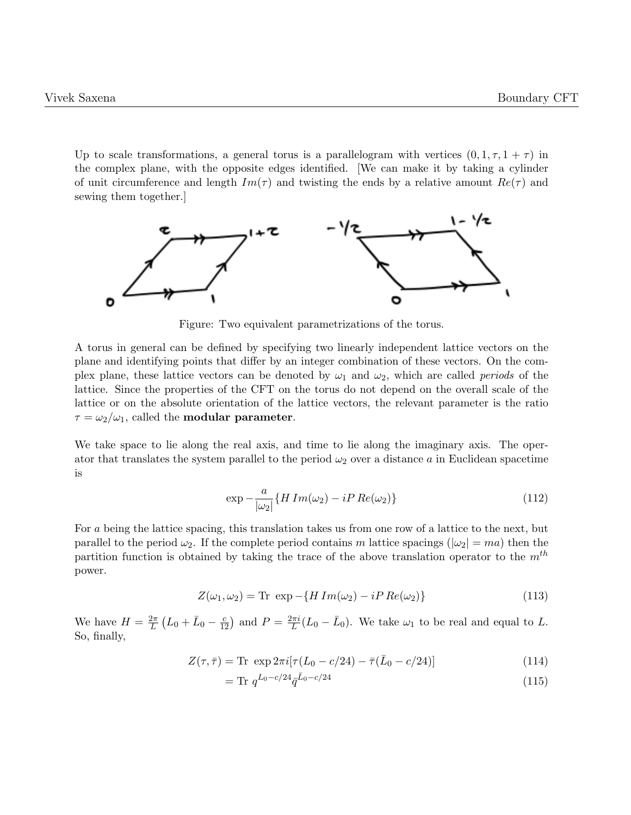Up to scale transformations, a general torus is a parallelogram with vertices  $(0, 1, \tau, 1 + \tau)$  in the complex plane, with the opposite edges identified. [We can make it by taking a cylinder of unit circumference and length  $Im(\tau)$  and twisting the ends by a relative amount  $Re(\tau)$  and sewing them together.]



Figure: Two equivalent parametrizations of the torus.

A torus in general can be defined by specifying two linearly independent lattice vectors on the plane and identifying points that differ by an integer combination of these vectors. On the complex plane, these lattice vectors can be denoted by  $\omega_1$  and  $\omega_2$ , which are called *periods* of the lattice. Since the properties of the CFT on the torus do not depend on the overall scale of the lattice or on the absolute orientation of the lattice vectors, the relevant parameter is the ratio  $\tau = \omega_2/\omega_1$ , called the **modular parameter**.

We take space to lie along the real axis, and time to lie along the imaginary axis. The operator that translates the system parallel to the period  $\omega_2$  over a distance a in Euclidean spacetime is

$$
\exp -\frac{a}{|\omega_2|} \{ H\ Im(\omega_2) - iP\ Re(\omega_2) \}
$$
\n(112)

For a being the lattice spacing, this translation takes us from one row of a lattice to the next, but parallel to the period  $\omega_2$ . If the complete period contains m lattice spacings ( $|\omega_2| = ma$ ) then the partition function is obtained by taking the trace of the above translation operator to the  $m<sup>th</sup>$ power.

$$
Z(\omega_1, \omega_2) = \text{Tr} \exp\left(-\left\{H\operatorname{Im}(\omega_2) - i\operatorname{PR}e(\omega_2)\right\}\right) \tag{113}
$$

We have  $H = \frac{2\pi}{L}$  $\frac{2\pi}{L}(L_0 + \bar{L}_0 - \frac{c}{12})$  and  $P = \frac{2\pi i}{L}$  $\frac{L\pi i}{L}(L_0 - \bar{L}_0)$ . We take  $\omega_1$  to be real and equal to L. So, finally,

$$
Z(\tau,\bar{\tau}) = \text{Tr} \exp 2\pi i [\tau (L_0 - c/24) - \bar{\tau}(\bar{L}_0 - c/24)] \tag{114}
$$

$$
= \text{Tr } q^{L_0 - c/24} \bar{q}^{\bar{L}_0 - c/24} \tag{115}
$$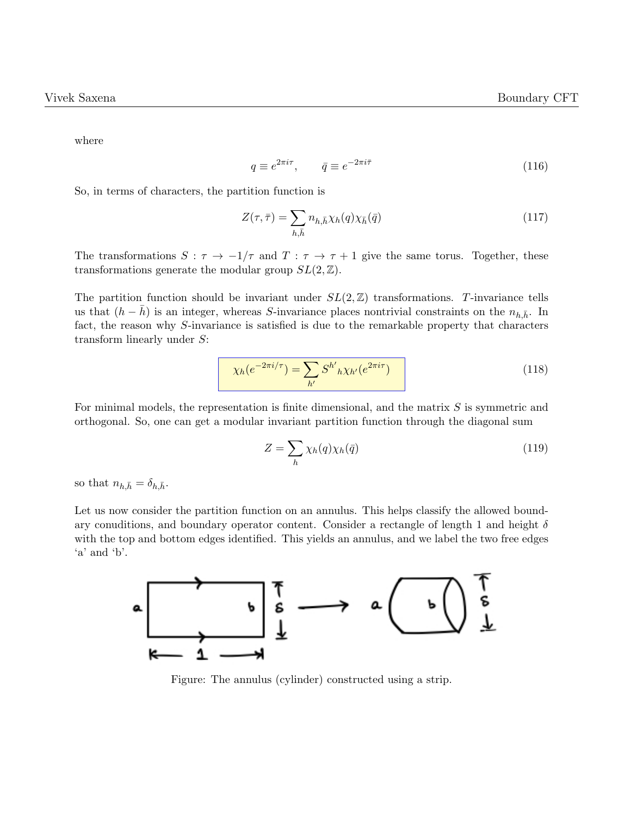where

$$
q \equiv e^{2\pi i \tau}, \qquad \bar{q} \equiv e^{-2\pi i \bar{\tau}} \tag{116}
$$

So, in terms of characters, the partition function is

$$
Z(\tau,\bar{\tau}) = \sum_{h,\bar{h}} n_{h,\bar{h}} \chi_h(q) \chi_{\bar{h}}(\bar{q}) \tag{117}
$$

The transformations  $S : \tau \to -1/\tau$  and  $T : \tau \to \tau + 1$  give the same torus. Together, these transformations generate the modular group  $SL(2, \mathbb{Z})$ .

The partition function should be invariant under  $SL(2, \mathbb{Z})$  transformations. T-invariance tells us that  $(h - \bar{h})$  is an integer, whereas S-invariance places nontrivial constraints on the  $n_{h,\bar{h}}$ . In fact, the reason why S-invariance is satisfied is due to the remarkable property that characters transform linearly under S:

$$
\chi_h(e^{-2\pi i/\tau}) = \sum_{h'} S^{h'}_{\ h} \chi_{h'}(e^{2\pi i \tau}) \tag{118}
$$

For minimal models, the representation is finite dimensional, and the matrix S is symmetric and orthogonal. So, one can get a modular invariant partition function through the diagonal sum

$$
Z = \sum_{h} \chi_h(q) \chi_h(\bar{q}) \tag{119}
$$

so that  $n_{h,\bar{h}} = \delta_{h,\bar{h}}$ .

Let us now consider the partition function on an annulus. This helps classify the allowed boundary conuditions, and boundary operator content. Consider a rectangle of length 1 and height  $\delta$ with the top and bottom edges identified. This yields an annulus, and we label the two free edges 'a' and 'b'.



Figure: The annulus (cylinder) constructed using a strip.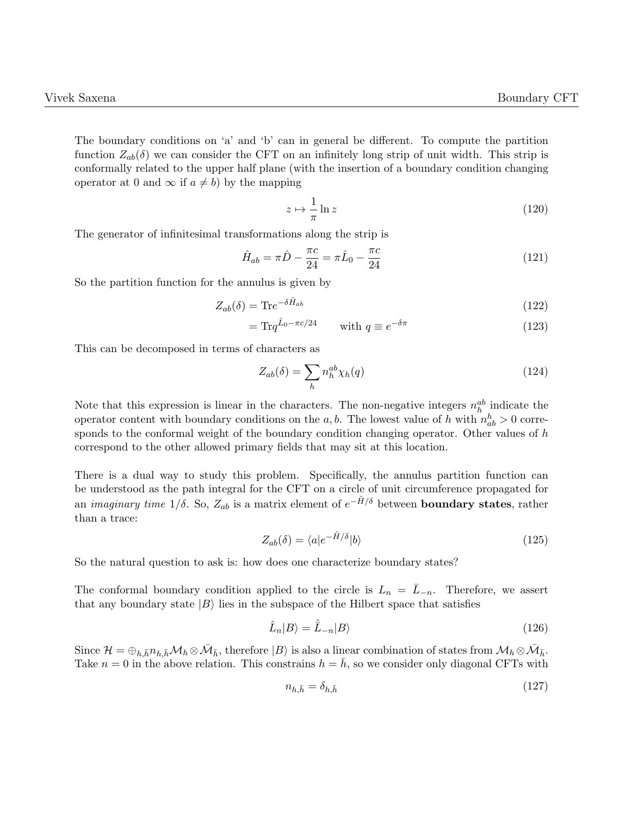The boundary conditions on 'a' and 'b' can in general be different. To compute the partition function  $Z_{ab}(\delta)$  we can consider the CFT on an infinitely long strip of unit width. This strip is conformally related to the upper half plane (with the insertion of a boundary condition changing operator at 0 and  $\infty$  if  $a \neq b$ ) by the mapping

$$
z \mapsto \frac{1}{\pi} \ln z \tag{120}
$$

The generator of infinitesimal transformations along the strip is

$$
\hat{H}_{ab} = \pi \hat{D} - \frac{\pi c}{24} = \pi \hat{L}_0 - \frac{\pi c}{24}
$$
\n(121)

So the partition function for the annulus is given by

$$
Z_{ab}(\delta) = \text{Tr}e^{-\delta\hat{H}_{ab}}\tag{122}
$$

$$
= \text{Tr} q^{\hat{L}_0 - \pi c/24} \qquad \text{with } q \equiv e^{-\delta \pi} \tag{123}
$$

This can be decomposed in terms of characters as

$$
Z_{ab}(\delta) = \sum_{h} n_h^{ab} \chi_h(q) \tag{124}
$$

Note that this expression is linear in the characters. The non-negative integers  $n_h^{ab}$  indicate the operator content with boundary conditions on the a, b. The lowest value of h with  $n_{ab}^h > 0$  corresponds to the conformal weight of the boundary condition changing operator. Other values of  $h$ correspond to the other allowed primary fields that may sit at this location.

There is a dual way to study this problem. Specifically, the annulus partition function can be understood as the path integral for the CFT on a circle of unit circumference propagated for an *imaginary time*  $1/\delta$ . So,  $Z_{ab}$  is a matrix element of  $e^{-\hat{H}/\delta}$  between **boundary states**, rather than a trace:

$$
Z_{ab}(\delta) = \langle a|e^{-\hat{H}/\delta}|b\rangle \tag{125}
$$

So the natural question to ask is: how does one characterize boundary states?

The conformal boundary condition applied to the circle is  $L_n = \overline{L}_{-n}$ . Therefore, we assert that any boundary state  $|B\rangle$  lies in the subspace of the Hilbert space that satisfies

$$
\hat{L}_n|B\rangle = \hat{\bar{L}}_{-n}|B\rangle\tag{126}
$$

Since  $\mathcal{H} = \bigoplus_{h,\bar{h}} n_{h,\bar{h}} \mathcal{M}_h \otimes \bar{\mathcal{M}}_{\bar{h}}$ , therefore  $|B\rangle$  is also a linear combination of states from  $\mathcal{M}_h \otimes \bar{\mathcal{M}}_{\bar{h}}$ . Take  $n = 0$  in the above relation. This constrains  $h = \bar{h}$ , so we consider only diagonal CFTs with

<span id="page-33-0"></span>
$$
n_{h,\bar{h}} = \delta_{h,\bar{h}} \tag{127}
$$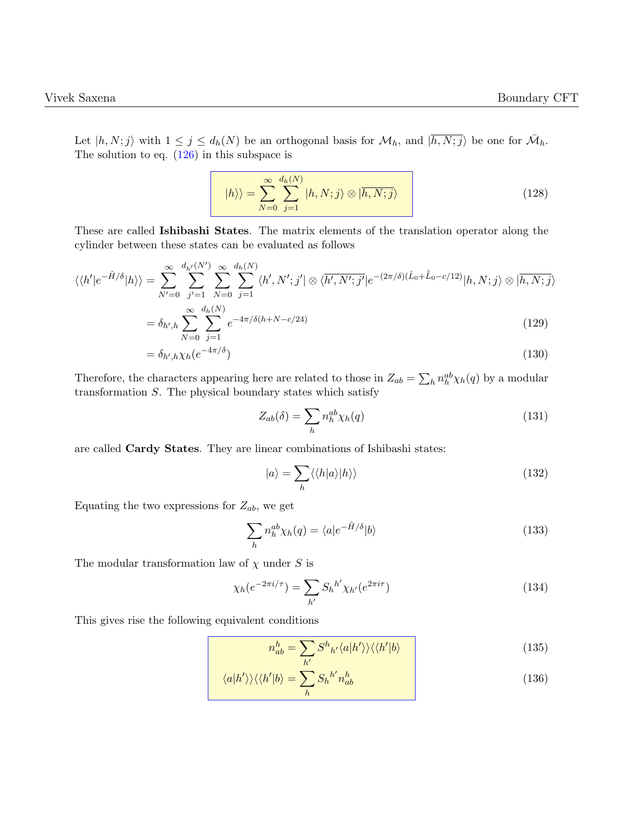Let  $|h, N; j\rangle$  with  $1 \leq j \leq d_h(N)$  be an orthogonal basis for  $\mathcal{M}_h$ , and  $|\overline{h, N; j}\rangle$  be one for  $\overline{\mathcal{M}}_h$ . The solution to eq.  $(126)$  in this subspace is

$$
|h\rangle\rangle = \sum_{N=0}^{\infty} \sum_{j=1}^{d_h(N)} |h, N; j\rangle \otimes |\overline{h, N; j}\rangle \qquad (128)
$$

These are called Ishibashi States. The matrix elements of the translation operator along the cylinder between these states can be evaluated as follows

$$
\langle\langle h'|e^{-\hat{H}/\delta}|h\rangle\rangle = \sum_{N'=0}^{\infty} \sum_{j'=1}^{d_{h'}(N')} \sum_{N=0}^{\infty} \sum_{j=1}^{d_{h}(N)} \langle h', N';j'|\otimes \langle \overline{h', N';j'}|e^{-(2\pi/\delta)(\hat{L}_{0}+\hat{L}_{0}-c/12)}|h, N; j\rangle \otimes |\overline{h, N;j}\rangle
$$
  

$$
\underline{\infty} \underbrace{d_{h}(N)}_{\text{max}}.
$$

$$
= \delta_{h',h} \sum_{N=0}^{\infty} \sum_{j=1}^{d_h(N)} e^{-4\pi/\delta(h+N-c/24)}
$$
(129)

$$
= \delta_{h',h}\chi_h(e^{-4\pi/\delta})\tag{130}
$$

Therefore, the characters appearing here are related to those in  $Z_{ab} = \sum_h n_h^{ab} \chi_h(q)$  by a modular transformation  $S$ . The physical boundary states which satisfy

$$
Z_{ab}(\delta) = \sum_{h} n_h^{ab} \chi_h(q) \tag{131}
$$

are called Cardy States. They are linear combinations of Ishibashi states:

$$
|a\rangle = \sum_{h} \langle \langle h|a\rangle |h\rangle \rangle \tag{132}
$$

Equating the two expressions for  $Z_{ab}$ , we get

$$
\sum_{h} n_h^{ab} \chi_h(q) = \langle a | e^{-\hat{H}/\delta} | b \rangle \tag{133}
$$

The modular transformation law of  $\chi$  under S is

$$
\chi_h(e^{-2\pi i/\tau}) = \sum_{h'} S_h{}^{h'} \chi_{h'}(e^{2\pi i \tau})
$$
\n(134)

This gives rise the following equivalent conditions

<span id="page-34-1"></span><span id="page-34-0"></span>
$$
n_{ab}^h = \sum_{h'} S^h{}_{h'} \langle a|h' \rangle \rangle \langle \langle h'|b \rangle \tag{135}
$$

$$
\langle a|h'\rangle\rangle\langle\langle h'|b\rangle = \sum_{h} S_{h}{}^{h'} n_{ab}^{h}
$$
 (136)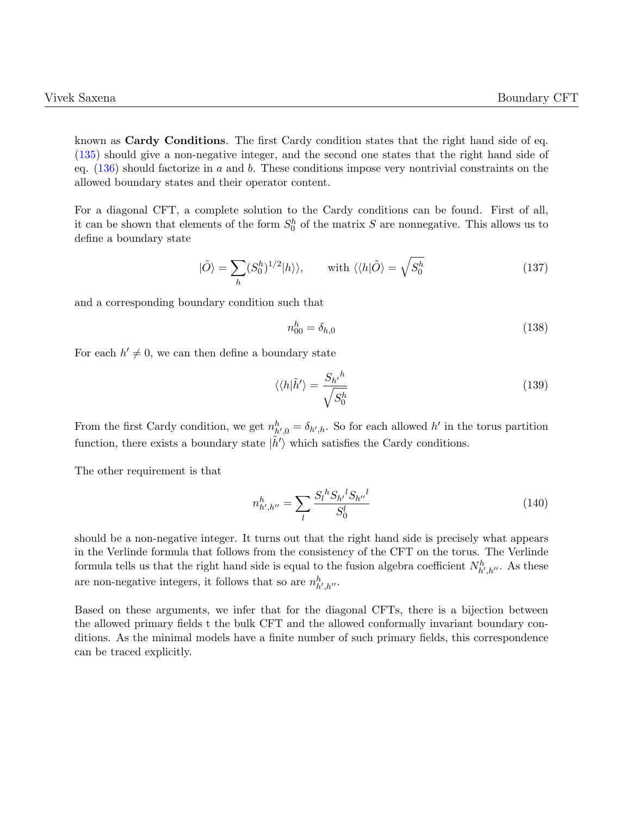known as Cardy Conditions. The first Cardy condition states that the right hand side of eq. [\(135\)](#page-34-0) should give a non-negative integer, and the second one states that the right hand side of eq.  $(136)$  should factorize in a and b. These conditions impose very nontrivial constraints on the allowed boundary states and their operator content.

For a diagonal CFT, a complete solution to the Cardy conditions can be found. First of all, it can be shown that elements of the form  $S_0^h$  of the matrix S are nonnegative. This allows us to define a boundary state

$$
|\tilde{O}\rangle = \sum_{h} (S_0^h)^{1/2} |h\rangle\rangle, \quad \text{with } \langle\langle h|\tilde{O}\rangle = \sqrt{S_0^h} \tag{137}
$$

and a corresponding boundary condition such that

$$
n_{00}^h = \delta_{h,0} \tag{138}
$$

For each  $h' \neq 0$ , we can then define a boundary state

$$
\langle \langle h|\tilde{h}'\rangle = \frac{S_{h'}{}^{h}}{\sqrt{S_0^h}}\tag{139}
$$

From the first Cardy condition, we get  $n_{h',0}^h = \delta_{h',h}$ . So for each allowed h' in the torus partition function, there exists a boundary state  $|\tilde{h}'\rangle$  which satisfies the Cardy conditions.

The other requirement is that

$$
n_{h',h''}^h = \sum_{l} \frac{S_l^h S_{h'}^l S_{h''}^l}{S_0^l} \tag{140}
$$

should be a non-negative integer. It turns out that the right hand side is precisely what appears in the Verlinde formula that follows from the consistency of the CFT on the torus. The Verlinde formula tells us that the right hand side is equal to the fusion algebra coefficient  $N_{h',h''}^h$ . As these are non-negative integers, it follows that so are  $n_{h',h''}^h$ .

<span id="page-35-0"></span>Based on these arguments, we infer that for the diagonal CFTs, there is a bijection between the allowed primary fields t the bulk CFT and the allowed conformally invariant boundary conditions. As the minimal models have a finite number of such primary fields, this correspondence can be traced explicitly.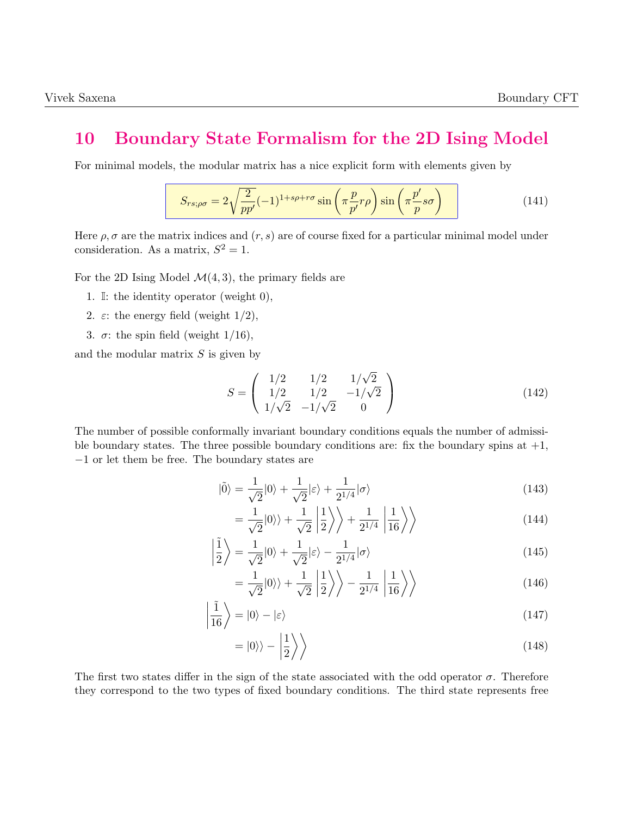### 10 Boundary State Formalism for the 2D Ising Model

For minimal models, the modular matrix has a nice explicit form with elements given by

$$
S_{rs;\rho\sigma} = 2\sqrt{\frac{2}{pp'}}(-1)^{1+s\rho+r\sigma}\sin\left(\pi\frac{p}{p'}r\rho\right)\sin\left(\pi\frac{p'}{p}s\sigma\right)
$$
(141)

Here  $\rho$ ,  $\sigma$  are the matrix indices and  $(r, s)$  are of course fixed for a particular minimal model under consideration. As a matrix,  $S^2 = 1$ .

For the 2D Ising Model  $\mathcal{M}(4, 3)$ , the primary fields are

- 1. I: the identity operator (weight 0),
- 2.  $\varepsilon$ : the energy field (weight  $1/2$ ),
- 3.  $\sigma$ : the spin field (weight 1/16),

and the modular matrix  $S$  is given by

$$
S = \begin{pmatrix} 1/2 & 1/2 & 1/\sqrt{2} \\ 1/2 & 1/2 & -1/\sqrt{2} \\ 1/\sqrt{2} & -1/\sqrt{2} & 0 \end{pmatrix}
$$
 (142)

The number of possible conformally invariant boundary conditions equals the number of admissible boundary states. The three possible boundary conditions are: fix the boundary spins at  $+1$ , −1 or let them be free. The boundary states are

$$
|\tilde{0}\rangle = \frac{1}{\sqrt{2}}|0\rangle + \frac{1}{\sqrt{2}}|\varepsilon\rangle + \frac{1}{2^{1/4}}|\sigma\rangle
$$
\n(143)

$$
=\frac{1}{\sqrt{2}}|0\rangle\rangle+\frac{1}{\sqrt{2}}\left|\frac{1}{2}\right\rangle\bigg\rangle+\frac{1}{2^{1/4}}\left|\frac{1}{16}\right\rangle\bigg\rangle\tag{144}
$$

$$
\left|\frac{\tilde{1}}{2}\right\rangle = \frac{1}{\sqrt{2}}|0\rangle + \frac{1}{\sqrt{2}}|\varepsilon\rangle - \frac{1}{2^{1/4}}|\sigma\rangle\tag{145}
$$

$$
=\frac{1}{\sqrt{2}}|0\rangle\rangle+\frac{1}{\sqrt{2}}\left|\frac{1}{2}\right\rangle\rangle-\frac{1}{2^{1/4}}\left|\frac{1}{16}\right\rangle\rangle\tag{146}
$$

$$
\left|\frac{\tilde{1}}{16}\right\rangle = |0\rangle - |\varepsilon\rangle \tag{147}
$$

$$
=|0\rangle\rangle - \left|\frac{1}{2}\right\rangle \tag{148}
$$

The first two states differ in the sign of the state associated with the odd operator  $\sigma$ . Therefore they correspond to the two types of fixed boundary conditions. The third state represents free